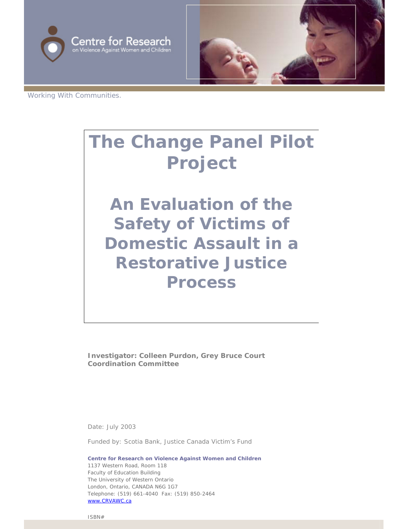



Working With Communities.

# **The Change Panel Pilot Project**

**An Evaluation of the Safety of Victims of Domestic Assault in a Restorative Justice Process**

**Investigator: Colleen Purdon, Grey Bruce Court Coordination Committee** 

Date: July 2003

Funded by: Scotia Bank, Justice Canada Victim's Fund

**Centre for Research on Violence Against Women and Children** 1137 Western Road, Room 118 Faculty of Education Building The University of Western Ontario London, Ontario, CANADA N6G 1G7 Telephone: (519) 661-4040 Fax: (519) 850-2464 [www.CRVAWC.ca](http://www.crvawc.ca/)

ISBN#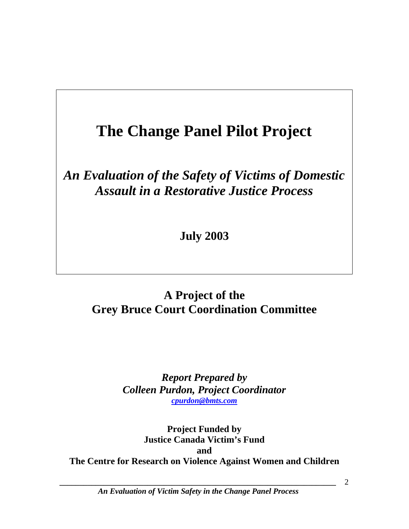# **The Change Panel Pilot Project**

# *An Evaluation of the Safety of Victims of Domestic Assault in a Restorative Justice Process*

**July 2003** 

## **A Project of the Grey Bruce Court Coordination Committee**

*Report Prepared by Colleen Purdon, Project Coordinator [cpurdon@bmts.com](mailto:cpurdon@bmts.com)*

**Project Funded by Justice Canada Victim's Fund and The Centre for Research on Violence Against Women and Children** 

*\_\_\_\_\_\_\_\_\_\_\_\_\_\_\_\_\_\_\_\_\_\_\_\_\_\_\_\_\_\_\_\_\_\_\_\_\_\_\_\_\_\_\_\_\_\_\_\_\_\_\_\_\_\_\_\_\_\_\_\_\_\_\_\_\_\_\_\_\_ An Evaluation of Victim Safety in the Change Panel Process*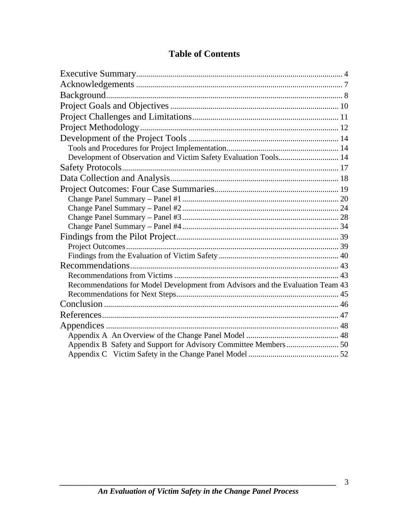| Development of Observation and Victim Safety Evaluation Tools 14               |  |
|--------------------------------------------------------------------------------|--|
|                                                                                |  |
|                                                                                |  |
|                                                                                |  |
|                                                                                |  |
|                                                                                |  |
|                                                                                |  |
|                                                                                |  |
|                                                                                |  |
|                                                                                |  |
|                                                                                |  |
|                                                                                |  |
|                                                                                |  |
| Recommendations for Model Development from Advisors and the Evaluation Team 43 |  |
|                                                                                |  |
|                                                                                |  |
|                                                                                |  |
|                                                                                |  |
|                                                                                |  |
|                                                                                |  |
|                                                                                |  |

## **Table of Contents**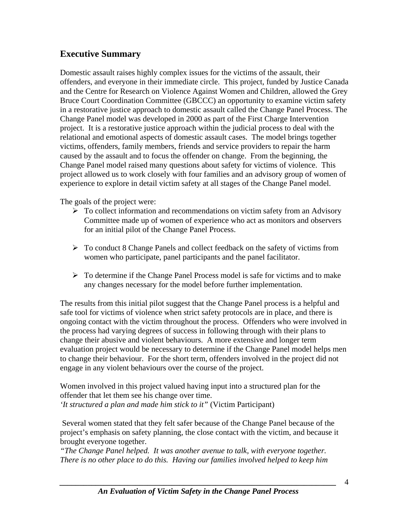## <span id="page-3-0"></span>**Executive Summary**

Domestic assault raises highly complex issues for the victims of the assault, their offenders, and everyone in their immediate circle. This project, funded by Justice Canada and the Centre for Research on Violence Against Women and Children, allowed the Grey Bruce Court Coordination Committee (GBCCC) an opportunity to examine victim safety in a restorative justice approach to domestic assault called the Change Panel Process. The Change Panel model was developed in 2000 as part of the First Charge Intervention project. It is a restorative justice approach within the judicial process to deal with the relational and emotional aspects of domestic assault cases. The model brings together victims, offenders, family members, friends and service providers to repair the harm caused by the assault and to focus the offender on change. From the beginning, the Change Panel model raised many questions about safety for victims of violence. This project allowed us to work closely with four families and an advisory group of women of experience to explore in detail victim safety at all stages of the Change Panel model.

The goals of the project were:

- $\triangleright$  To collect information and recommendations on victim safety from an Advisory Committee made up of women of experience who act as monitors and observers for an initial pilot of the Change Panel Process.
- $\triangleright$  To conduct 8 Change Panels and collect feedback on the safety of victims from women who participate, panel participants and the panel facilitator.
- $\triangleright$  To determine if the Change Panel Process model is safe for victims and to make any changes necessary for the model before further implementation.

The results from this initial pilot suggest that the Change Panel process is a helpful and safe tool for victims of violence when strict safety protocols are in place, and there is ongoing contact with the victim throughout the process. Offenders who were involved in the process had varying degrees of success in following through with their plans to change their abusive and violent behaviours. A more extensive and longer term evaluation project would be necessary to determine if the Change Panel model helps men to change their behaviour. For the short term, offenders involved in the project did not engage in any violent behaviours over the course of the project.

Women involved in this project valued having input into a structured plan for the offender that let them see his change over time. *'It structured a plan and made him stick to it"* (Victim Participant)

Several women stated that they felt safer because of the Change Panel because of the project's emphasis on safety planning, the close contact with the victim, and because it brought everyone together.

*"The Change Panel helped. It was another avenue to talk, with everyone together. There is no other place to do this. Having our families involved helped to keep him*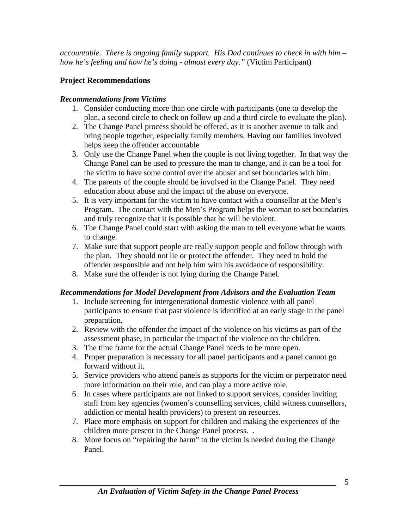*accountable. There is ongoing family support. His Dad continues to check in with him – how he's feeling and how he's doing - almost every day."* (Victim Participant)

## **Project Recommendations**

### *Recommendations from Victims*

- 1. Consider conducting more than one circle with participants (one to develop the plan, a second circle to check on follow up and a third circle to evaluate the plan).
- 2. The Change Panel process should be offered, as it is another avenue to talk and bring people together, especially family members. Having our families involved helps keep the offender accountable
- 3. Only use the Change Panel when the couple is not living together. In that way the Change Panel can be used to pressure the man to change, and it can be a tool for the victim to have some control over the abuser and set boundaries with him.
- 4. The parents of the couple should be involved in the Change Panel. They need education about abuse and the impact of the abuse on everyone.
- 5. It is very important for the victim to have contact with a counsellor at the Men's Program. The contact with the Men's Program helps the woman to set boundaries and truly recognize that it is possible that he will be violent.
- 6. The Change Panel could start with asking the man to tell everyone what he wants to change.
- 7. Make sure that support people are really support people and follow through with the plan. They should not lie or protect the offender. They need to hold the offender responsible and not help him with his avoidance of responsibility.
- 8. Make sure the offender is not lying during the Change Panel.

## *Recommendations for Model Development from Advisors and the Evaluation Team*

- 1. Include screening for intergenerational domestic violence with all panel participants to ensure that past violence is identified at an early stage in the panel preparation.
- 2. Review with the offender the impact of the violence on his victims as part of the assessment phase, in particular the impact of the violence on the children.
- 3. The time frame for the actual Change Panel needs to be more open.
- 4. Proper preparation is necessary for all panel participants and a panel cannot go forward without it.
- 5. Service providers who attend panels as supports for the victim or perpetrator need more information on their role, and can play a more active role.
- 6. In cases where participants are not linked to support services, consider inviting staff from key agencies (women's counselling services, child witness counsellors, addiction or mental health providers) to present on resources.
- 7. Place more emphasis on support for children and making the experiences of the children more present in the Change Panel process. .
- 8. More focus on "repairing the harm" to the victim is needed during the Change Panel.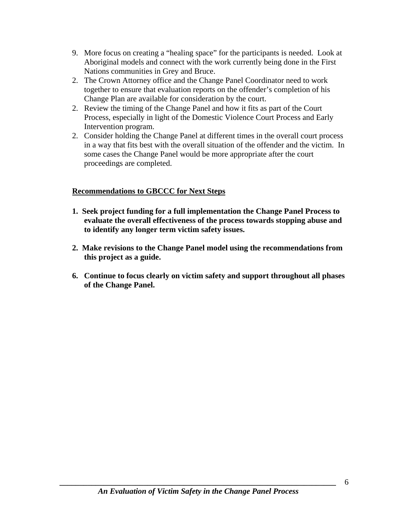- 9. More focus on creating a "healing space" for the participants is needed. Look at Aboriginal models and connect with the work currently being done in the First Nations communities in Grey and Bruce.
- 2. The Crown Attorney office and the Change Panel Coordinator need to work together to ensure that evaluation reports on the offender's completion of his Change Plan are available for consideration by the court.
- 2. Review the timing of the Change Panel and how it fits as part of the Court Process, especially in light of the Domestic Violence Court Process and Early Intervention program.
- 2. Consider holding the Change Panel at different times in the overall court process in a way that fits best with the overall situation of the offender and the victim. In some cases the Change Panel would be more appropriate after the court proceedings are completed.

#### **Recommendations to GBCCC for Next Steps**

- **1. Seek project funding for a full implementation the Change Panel Process to evaluate the overall effectiveness of the process towards stopping abuse and to identify any longer term victim safety issues.**
- **2. Make revisions to the Change Panel model using the recommendations from this project as a guide.**
- **6. Continue to focus clearly on victim safety and support throughout all phases of the Change Panel.**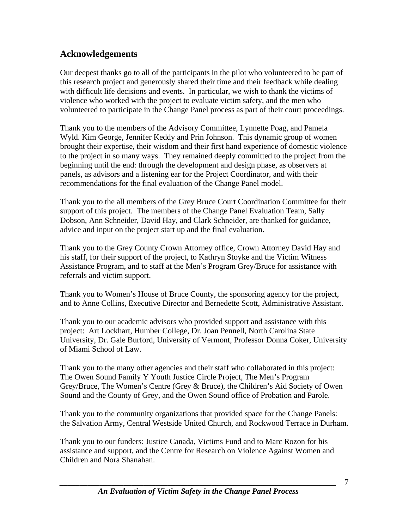## <span id="page-6-0"></span>**Acknowledgements**

Our deepest thanks go to all of the participants in the pilot who volunteered to be part of this research project and generously shared their time and their feedback while dealing with difficult life decisions and events. In particular, we wish to thank the victims of violence who worked with the project to evaluate victim safety, and the men who volunteered to participate in the Change Panel process as part of their court proceedings.

Thank you to the members of the Advisory Committee, Lynnette Poag, and Pamela Wyld. Kim George, Jennifer Keddy and Prin Johnson. This dynamic group of women brought their expertise, their wisdom and their first hand experience of domestic violence to the project in so many ways. They remained deeply committed to the project from the beginning until the end: through the development and design phase, as observers at panels, as advisors and a listening ear for the Project Coordinator, and with their recommendations for the final evaluation of the Change Panel model.

Thank you to the all members of the Grey Bruce Court Coordination Committee for their support of this project. The members of the Change Panel Evaluation Team, Sally Dobson, Ann Schneider, David Hay, and Clark Schneider, are thanked for guidance, advice and input on the project start up and the final evaluation.

Thank you to the Grey County Crown Attorney office, Crown Attorney David Hay and his staff, for their support of the project, to Kathryn Stoyke and the Victim Witness Assistance Program, and to staff at the Men's Program Grey/Bruce for assistance with referrals and victim support.

Thank you to Women's House of Bruce County, the sponsoring agency for the project, and to Anne Collins, Executive Director and Bernedette Scott, Administrative Assistant.

Thank you to our academic advisors who provided support and assistance with this project: Art Lockhart, Humber College, Dr. Joan Pennell, North Carolina State University, Dr. Gale Burford, University of Vermont, Professor Donna Coker, University of Miami School of Law.

Thank you to the many other agencies and their staff who collaborated in this project: The Owen Sound Family Y Youth Justice Circle Project, The Men's Program Grey/Bruce, The Women's Centre (Grey & Bruce), the Children's Aid Society of Owen Sound and the County of Grey, and the Owen Sound office of Probation and Parole.

Thank you to the community organizations that provided space for the Change Panels: the Salvation Army, Central Westside United Church, and Rockwood Terrace in Durham.

Thank you to our funders: Justice Canada, Victims Fund and to Marc Rozon for his assistance and support, and the Centre for Research on Violence Against Women and Children and Nora Shanahan.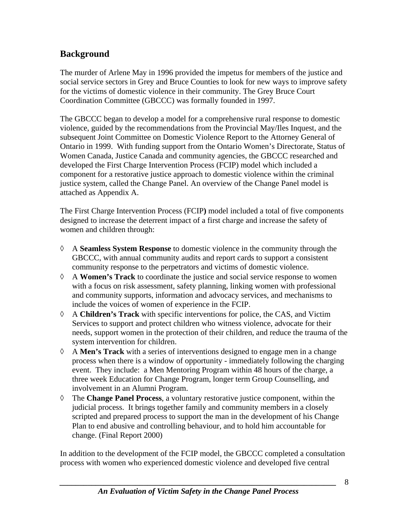## <span id="page-7-0"></span>**Background**

The murder of Arlene May in 1996 provided the impetus for members of the justice and social service sectors in Grey and Bruce Counties to look for new ways to improve safety for the victims of domestic violence in their community. The Grey Bruce Court Coordination Committee (GBCCC) was formally founded in 1997.

The GBCCC began to develop a model for a comprehensive rural response to domestic violence, guided by the recommendations from the Provincial May/Iles Inquest, and the subsequent Joint Committee on Domestic Violence Report to the Attorney General of Ontario in 1999. With funding support from the Ontario Women's Directorate, Status of Women Canada, Justice Canada and community agencies, the GBCCC researched and developed the First Charge Intervention Process (FCIP) model which included a component for a restorative justice approach to domestic violence within the criminal justice system, called the Change Panel. An overview of the Change Panel model is attached as Appendix A.

The First Charge Intervention Process (FCIP**)** model included a total of five components designed to increase the deterrent impact of a first charge and increase the safety of women and children through:

- ◊ A **Seamless System Response** to domestic violence in the community through the GBCCC, with annual community audits and report cards to support a consistent community response to the perpetrators and victims of domestic violence.
- ◊ A **Women's Track** to coordinate the justice and social service response to women with a focus on risk assessment, safety planning, linking women with professional and community supports, information and advocacy services, and mechanisms to include the voices of women of experience in the FCIP.
- ◊ A **Children's Track** with specific interventions for police, the CAS, and Victim Services to support and protect children who witness violence, advocate for their needs, support women in the protection of their children, and reduce the trauma of the system intervention for children.
- ◊ A **Men's Track** with a series of interventions designed to engage men in a change process when there is a window of opportunity - immediately following the charging event. They include: a Men Mentoring Program within 48 hours of the charge, a three week Education for Change Program, longer term Group Counselling, and involvement in an Alumni Program.
- ◊ The **Change Panel Process**, a voluntary restorative justice component, within the judicial process. It brings together family and community members in a closely scripted and prepared process to support the man in the development of his Change Plan to end abusive and controlling behaviour, and to hold him accountable for change. (Final Report 2000)

In addition to the development of the FCIP model, the GBCCC completed a consultation process with women who experienced domestic violence and developed five central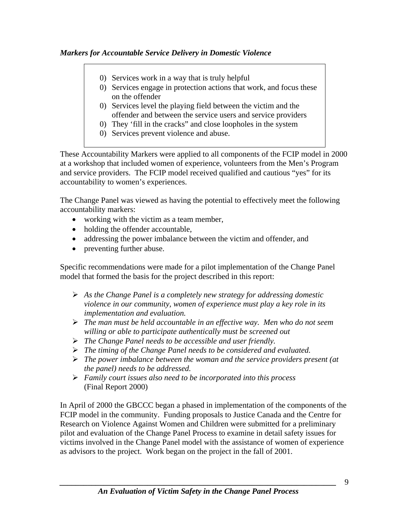#### *Markers for Accountable Service Delivery in Domestic Violence*

- 0) Services work in a way that is truly helpful
- 0) Services engage in protection actions that work, and focus these on the offender
- 0) Services level the playing field between the victim and the offender and between the service users and service providers
- 0) They 'fill in the cracks" and close loopholes in the system
- 0) Services prevent violence and abuse.

These Accountability Markers were applied to all components of the FCIP model in 2000 at a workshop that included women of experience, volunteers from the Men's Program and service providers. The FCIP model received qualified and cautious "yes" for its accountability to women's experiences.

The Change Panel was viewed as having the potential to effectively meet the following accountability markers:

- working with the victim as a team member,
- holding the offender accountable,
- addressing the power imbalance between the victim and offender, and
- preventing further abuse.

Specific recommendations were made for a pilot implementation of the Change Panel model that formed the basis for the project described in this report:

- ¾ *As the Change Panel is a completely new strategy for addressing domestic violence in our community, women of experience must play a key role in its implementation and evaluation.*
- ¾ *The man must be held accountable in an effective way. Men who do not seem willing or able to participate authentically must be screened out*
- ¾ *The Change Panel needs to be accessible and user friendly.*
- ¾ *The timing of the Change Panel needs to be considered and evaluated.*
- ¾ *The power imbalance between the woman and the service providers present (at the panel) needs to be addressed.*
- ¾ *Family court issues also need to be incorporated into this process*  (Final Report 2000)

In April of 2000 the GBCCC began a phased in implementation of the components of the FCIP model in the community. Funding proposals to Justice Canada and the Centre for Research on Violence Against Women and Children were submitted for a preliminary pilot and evaluation of the Change Panel Process to examine in detail safety issues for victims involved in the Change Panel model with the assistance of women of experience as advisors to the project. Work began on the project in the fall of 2001.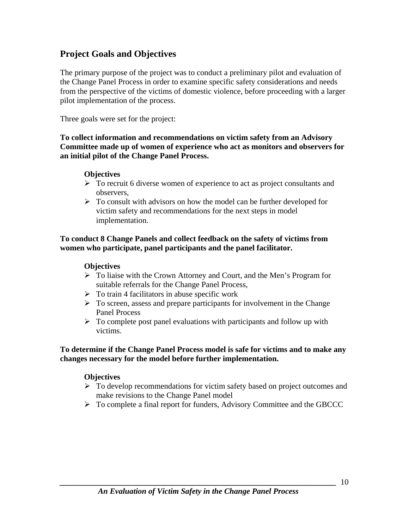## <span id="page-9-0"></span>**Project Goals and Objectives**

The primary purpose of the project was to conduct a preliminary pilot and evaluation of the Change Panel Process in order to examine specific safety considerations and needs from the perspective of the victims of domestic violence, before proceeding with a larger pilot implementation of the process.

Three goals were set for the project:

**To collect information and recommendations on victim safety from an Advisory Committee made up of women of experience who act as monitors and observers for an initial pilot of the Change Panel Process.** 

#### **Objectives**

- $\triangleright$  To recruit 6 diverse women of experience to act as project consultants and observers,
- $\triangleright$  To consult with advisors on how the model can be further developed for victim safety and recommendations for the next steps in model implementation.

#### **To conduct 8 Change Panels and collect feedback on the safety of victims from women who participate, panel participants and the panel facilitator.**

#### **Objectives**

- ¾ To liaise with the Crown Attorney and Court, and the Men's Program for suitable referrals for the Change Panel Process,
- $\triangleright$  To train 4 facilitators in abuse specific work
- $\triangleright$  To screen, assess and prepare participants for involvement in the Change Panel Process
- $\triangleright$  To complete post panel evaluations with participants and follow up with victims.

#### **To determine if the Change Panel Process model is safe for victims and to make any changes necessary for the model before further implementation.**

#### **Objectives**

- $\triangleright$  To develop recommendations for victim safety based on project outcomes and make revisions to the Change Panel model
- ¾ To complete a final report for funders, Advisory Committee and the GBCCC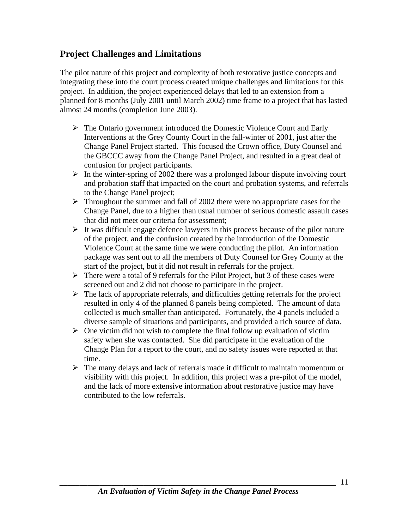## <span id="page-10-0"></span>**Project Challenges and Limitations**

The pilot nature of this project and complexity of both restorative justice concepts and integrating these into the court process created unique challenges and limitations for this project. In addition, the project experienced delays that led to an extension from a planned for 8 months (July 2001 until March 2002) time frame to a project that has lasted almost 24 months (completion June 2003).

- $\triangleright$  The Ontario government introduced the Domestic Violence Court and Early Interventions at the Grey County Court in the fall-winter of 2001, just after the Change Panel Project started. This focused the Crown office, Duty Counsel and the GBCCC away from the Change Panel Project, and resulted in a great deal of confusion for project participants.
- $\triangleright$  In the winter-spring of 2002 there was a prolonged labour dispute involving court and probation staff that impacted on the court and probation systems, and referrals to the Change Panel project;
- $\triangleright$  Throughout the summer and fall of 2002 there were no appropriate cases for the Change Panel, due to a higher than usual number of serious domestic assault cases that did not meet our criteria for assessment;
- $\triangleright$  It was difficult engage defence lawyers in this process because of the pilot nature of the project, and the confusion created by the introduction of the Domestic Violence Court at the same time we were conducting the pilot. An information package was sent out to all the members of Duty Counsel for Grey County at the start of the project, but it did not result in referrals for the project.
- $\triangleright$  There were a total of 9 referrals for the Pilot Project, but 3 of these cases were screened out and 2 did not choose to participate in the project.
- $\triangleright$  The lack of appropriate referrals, and difficulties getting referrals for the project resulted in only 4 of the planned 8 panels being completed. The amount of data collected is much smaller than anticipated. Fortunately, the 4 panels included a diverse sample of situations and participants, and provided a rich source of data.
- $\triangleright$  One victim did not wish to complete the final follow up evaluation of victim safety when she was contacted. She did participate in the evaluation of the Change Plan for a report to the court, and no safety issues were reported at that time.
- $\triangleright$  The many delays and lack of referrals made it difficult to maintain momentum or visibility with this project. In addition, this project was a pre-pilot of the model, and the lack of more extensive information about restorative justice may have contributed to the low referrals.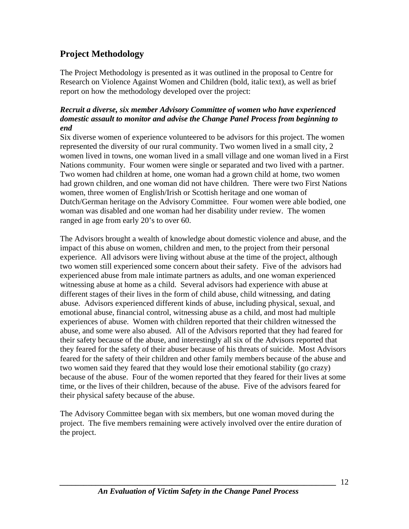## <span id="page-11-0"></span>**Project Methodology**

The Project Methodology is presented as it was outlined in the proposal to Centre for Research on Violence Against Women and Children (bold, italic text), as well as brief report on how the methodology developed over the project:

#### *Recruit a diverse, six member Advisory Committee of women who have experienced domestic assault to monitor and advise the Change Panel Process from beginning to end*

Six diverse women of experience volunteered to be advisors for this project. The women represented the diversity of our rural community. Two women lived in a small city, 2 women lived in towns, one woman lived in a small village and one woman lived in a First Nations community. Four women were single or separated and two lived with a partner. Two women had children at home, one woman had a grown child at home, two women had grown children, and one woman did not have children. There were two First Nations women, three women of English/Irish or Scottish heritage and one woman of Dutch/German heritage on the Advisory Committee. Four women were able bodied, one woman was disabled and one woman had her disability under review. The women ranged in age from early 20's to over 60.

The Advisors brought a wealth of knowledge about domestic violence and abuse, and the impact of this abuse on women, children and men, to the project from their personal experience. All advisors were living without abuse at the time of the project, although two women still experienced some concern about their safety. Five of the advisors had experienced abuse from male intimate partners as adults, and one woman experienced witnessing abuse at home as a child. Several advisors had experience with abuse at different stages of their lives in the form of child abuse, child witnessing, and dating abuse. Advisors experienced different kinds of abuse, including physical, sexual, and emotional abuse, financial control, witnessing abuse as a child, and most had multiple experiences of abuse. Women with children reported that their children witnessed the abuse, and some were also abused. All of the Advisors reported that they had feared for their safety because of the abuse, and interestingly all six of the Advisors reported that they feared for the safety of their abuser because of his threats of suicide. Most Advisors feared for the safety of their children and other family members because of the abuse and two women said they feared that they would lose their emotional stability (go crazy) because of the abuse. Four of the women reported that they feared for their lives at some time, or the lives of their children, because of the abuse. Five of the advisors feared for their physical safety because of the abuse.

The Advisory Committee began with six members, but one woman moved during the project. The five members remaining were actively involved over the entire duration of the project.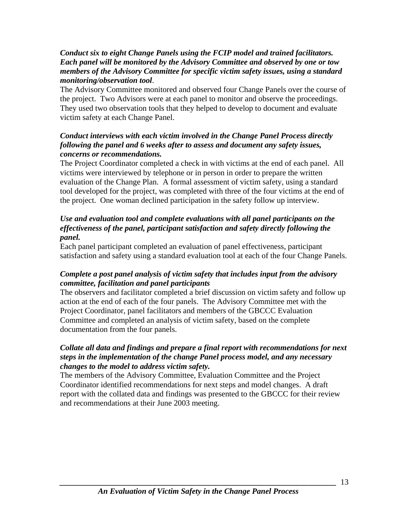#### *Conduct six to eight Change Panels using the FCIP model and trained facilitators. Each panel will be monitored by the Advisory Committee and observed by one or tow members of the Advisory Committee for specific victim safety issues, using a standard monitoring/observation tool*.

The Advisory Committee monitored and observed four Change Panels over the course of the project. Two Advisors were at each panel to monitor and observe the proceedings. They used two observation tools that they helped to develop to document and evaluate victim safety at each Change Panel.

#### *Conduct interviews with each victim involved in the Change Panel Process directly following the panel and 6 weeks after to assess and document any safety issues, concerns or recommendations.*

The Project Coordinator completed a check in with victims at the end of each panel. All victims were interviewed by telephone or in person in order to prepare the written evaluation of the Change Plan. A formal assessment of victim safety, using a standard tool developed for the project, was completed with three of the four victims at the end of the project. One woman declined participation in the safety follow up interview.

#### *Use and evaluation tool and complete evaluations with all panel participants on the effectiveness of the panel, participant satisfaction and safety directly following the panel.*

Each panel participant completed an evaluation of panel effectiveness, participant satisfaction and safety using a standard evaluation tool at each of the four Change Panels.

#### *Complete a post panel analysis of victim safety that includes input from the advisory committee, facilitation and panel participants*

The observers and facilitator completed a brief discussion on victim safety and follow up action at the end of each of the four panels. The Advisory Committee met with the Project Coordinator, panel facilitators and members of the GBCCC Evaluation Committee and completed an analysis of victim safety, based on the complete documentation from the four panels.

#### *Collate all data and findings and prepare a final report with recommendations for next steps in the implementation of the change Panel process model, and any necessary changes to the model to address victim safety.*

The members of the Advisory Committee, Evaluation Committee and the Project Coordinator identified recommendations for next steps and model changes. A draft report with the collated data and findings was presented to the GBCCC for their review and recommendations at their June 2003 meeting.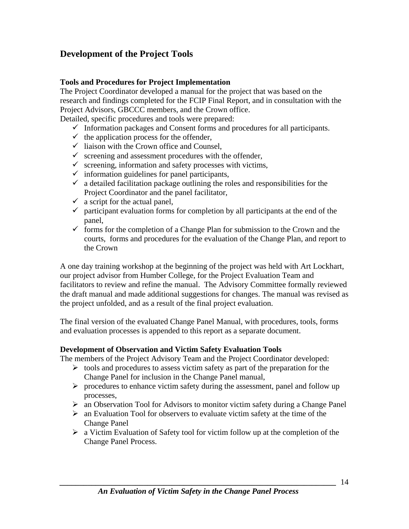## <span id="page-13-0"></span>**Development of the Project Tools**

#### **Tools and Procedures for Project Implementation**

The Project Coordinator developed a manual for the project that was based on the research and findings completed for the FCIP Final Report, and in consultation with the Project Advisors, GBCCC members, and the Crown office.

Detailed, specific procedures and tools were prepared:

- $\checkmark$  Information packages and Consent forms and procedures for all participants.
- $\checkmark$  the application process for the offender,
- $\checkmark$  liaison with the Crown office and Counsel,
- $\checkmark$  screening and assessment procedures with the offender,
- $\checkmark$  screening, information and safety processes with victims,
- $\checkmark$  information guidelines for panel participants,
- $\checkmark$  a detailed facilitation package outlining the roles and responsibilities for the Project Coordinator and the panel facilitator,
- $\checkmark$  a script for the actual panel,
- $\checkmark$  participant evaluation forms for completion by all participants at the end of the panel,
- $\checkmark$  forms for the completion of a Change Plan for submission to the Crown and the courts, forms and procedures for the evaluation of the Change Plan, and report to the Crown

A one day training workshop at the beginning of the project was held with Art Lockhart, our project advisor from Humber College, for the Project Evaluation Team and facilitators to review and refine the manual. The Advisory Committee formally reviewed the draft manual and made additional suggestions for changes. The manual was revised as the project unfolded, and as a result of the final project evaluation.

The final version of the evaluated Change Panel Manual, with procedures, tools, forms and evaluation processes is appended to this report as a separate document.

#### **Development of Observation and Victim Safety Evaluation Tools**

The members of the Project Advisory Team and the Project Coordinator developed:

- $\triangleright$  tools and procedures to assess victim safety as part of the preparation for the Change Panel for inclusion in the Change Panel manual,
- $\triangleright$  procedures to enhance victim safety during the assessment, panel and follow up processes,
- ¾ an Observation Tool for Advisors to monitor victim safety during a Change Panel
- $\triangleright$  an Evaluation Tool for observers to evaluate victim safety at the time of the Change Panel
- $\triangleright$  a Victim Evaluation of Safety tool for victim follow up at the completion of the Change Panel Process.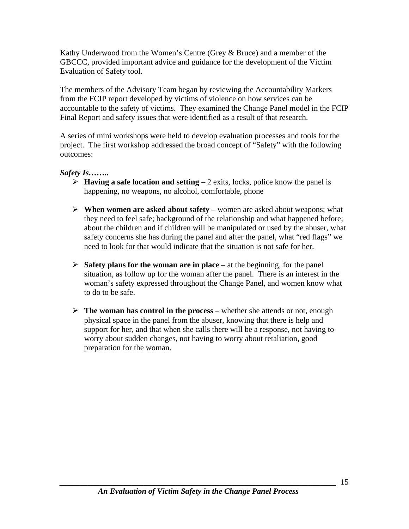Kathy Underwood from the Women's Centre (Grey & Bruce) and a member of the GBCCC, provided important advice and guidance for the development of the Victim Evaluation of Safety tool.

The members of the Advisory Team began by reviewing the Accountability Markers from the FCIP report developed by victims of violence on how services can be accountable to the safety of victims. They examined the Change Panel model in the FCIP Final Report and safety issues that were identified as a result of that research.

A series of mini workshops were held to develop evaluation processes and tools for the project. The first workshop addressed the broad concept of "Safety" with the following outcomes:

#### *Safety Is……..*

- $\triangleright$  **Having a safe location and setting** 2 exits, locks, police know the panel is happening, no weapons, no alcohol, comfortable, phone
- ¾ **When women are asked about safety** women are asked about weapons; what they need to feel safe; background of the relationship and what happened before; about the children and if children will be manipulated or used by the abuser, what safety concerns she has during the panel and after the panel, what "red flags" we need to look for that would indicate that the situation is not safe for her.
- $\triangleright$  **Safety plans for the woman are in place** at the beginning, for the panel situation, as follow up for the woman after the panel. There is an interest in the woman's safety expressed throughout the Change Panel, and women know what to do to be safe.
- $\triangleright$  **The woman has control in the process** whether she attends or not, enough physical space in the panel from the abuser, knowing that there is help and support for her, and that when she calls there will be a response, not having to worry about sudden changes, not having to worry about retaliation, good preparation for the woman.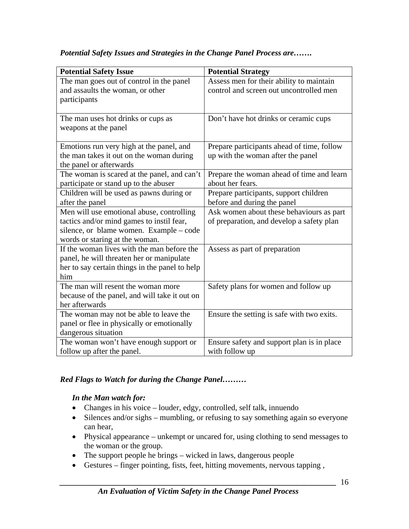| <b>Potential Safety Issue</b>                  | <b>Potential Strategy</b>                  |
|------------------------------------------------|--------------------------------------------|
| The man goes out of control in the panel       | Assess men for their ability to maintain   |
| and assaults the woman, or other               | control and screen out uncontrolled men    |
| participants                                   |                                            |
|                                                |                                            |
| The man uses hot drinks or cups as             | Don't have hot drinks or ceramic cups      |
| weapons at the panel                           |                                            |
|                                                |                                            |
| Emotions run very high at the panel, and       | Prepare participants ahead of time, follow |
| the man takes it out on the woman during       | up with the woman after the panel          |
| the panel or afterwards                        |                                            |
| The woman is scared at the panel, and can't    | Prepare the woman ahead of time and learn  |
| participate or stand up to the abuser          | about her fears.                           |
| Children will be used as pawns during or       | Prepare participants, support children     |
| after the panel                                | before and during the panel                |
| Men will use emotional abuse, controlling      | Ask women about these behaviours as part   |
| tactics and/or mind games to instil fear,      | of preparation, and develop a safety plan  |
| silence, or blame women. Example – code        |                                            |
| words or staring at the woman.                 |                                            |
| If the woman lives with the man before the     | Assess as part of preparation              |
| panel, he will threaten her or manipulate      |                                            |
| her to say certain things in the panel to help |                                            |
| him                                            |                                            |
| The man will resent the woman more             | Safety plans for women and follow up       |
| because of the panel, and will take it out on  |                                            |
| her afterwards                                 |                                            |
| The woman may not be able to leave the         | Ensure the setting is safe with two exits. |
| panel or flee in physically or emotionally     |                                            |
| dangerous situation                            |                                            |
| The woman won't have enough support or         | Ensure safety and support plan is in place |
| follow up after the panel.                     | with follow up                             |

#### *Potential Safety Issues and Strategies in the Change Panel Process are…….*

#### *Red Flags to Watch for during the Change Panel………*

#### *In the Man watch for:*

- Changes in his voice louder, edgy, controlled, self talk, innuendo
- Silences and/or sighs mumbling, or refusing to say something again so everyone can hear,
- Physical appearance unkempt or uncared for, using clothing to send messages to the woman or the group.
- The support people he brings wicked in laws, dangerous people
- Gestures finger pointing, fists, feet, hitting movements, nervous tapping ,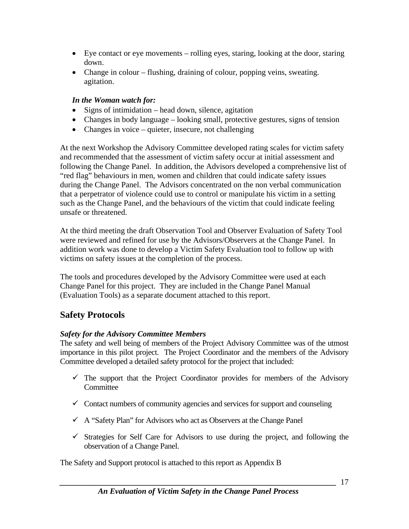- <span id="page-16-0"></span>• Eye contact or eye movements – rolling eyes, staring, looking at the door, staring down.
- Change in colour flushing, draining of colour, popping veins, sweating. agitation.

#### *In the Woman watch for:*

- Signs of intimidation head down, silence, agitation
- Changes in body language looking small, protective gestures, signs of tension
- Changes in voice quieter, insecure, not challenging

At the next Workshop the Advisory Committee developed rating scales for victim safety and recommended that the assessment of victim safety occur at initial assessment and following the Change Panel. In addition, the Advisors developed a comprehensive list of "red flag" behaviours in men, women and children that could indicate safety issues during the Change Panel. The Advisors concentrated on the non verbal communication that a perpetrator of violence could use to control or manipulate his victim in a setting such as the Change Panel, and the behaviours of the victim that could indicate feeling unsafe or threatened.

At the third meeting the draft Observation Tool and Observer Evaluation of Safety Tool were reviewed and refined for use by the Advisors/Observers at the Change Panel. In addition work was done to develop a Victim Safety Evaluation tool to follow up with victims on safety issues at the completion of the process.

The tools and procedures developed by the Advisory Committee were used at each Change Panel for this project. They are included in the Change Panel Manual (Evaluation Tools) as a separate document attached to this report.

## **Safety Protocols**

## *Safety for the Advisory Committee Members*

The safety and well being of members of the Project Advisory Committee was of the utmost importance in this pilot project. The Project Coordinator and the members of the Advisory Committee developed a detailed safety protocol for the project that included:

- $\checkmark$  The support that the Project Coordinator provides for members of the Advisory **Committee**
- $\checkmark$  Contact numbers of community agencies and services for support and counseling
- $\checkmark$  A "Safety Plan" for Advisors who act as Observers at the Change Panel
- $\checkmark$  Strategies for Self Care for Advisors to use during the project, and following the observation of a Change Panel.

The Safety and Support protocol is attached to this report as Appendix B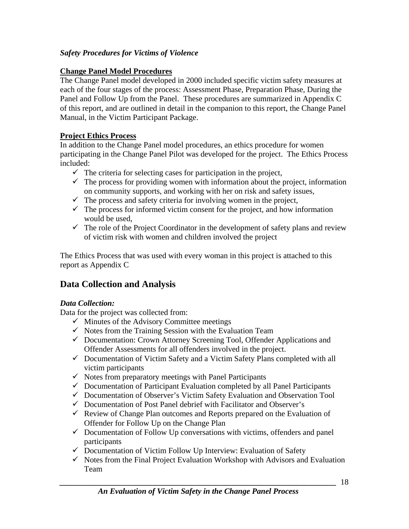#### <span id="page-17-0"></span>*Safety Procedures for Victims of Violence*

#### **Change Panel Model Procedures**

The Change Panel model developed in 2000 included specific victim safety measures at each of the four stages of the process: Assessment Phase, Preparation Phase, During the Panel and Follow Up from the Panel. These procedures are summarized in Appendix C of this report, and are outlined in detail in the companion to this report, the Change Panel Manual, in the Victim Participant Package.

#### **Project Ethics Process**

In addition to the Change Panel model procedures, an ethics procedure for women participating in the Change Panel Pilot was developed for the project. The Ethics Process included:

- $\checkmark$  The criteria for selecting cases for participation in the project,
- $\checkmark$  The process for providing women with information about the project, information on community supports, and working with her on risk and safety issues,
- $\checkmark$  The process and safety criteria for involving women in the project,
- $\checkmark$  The process for informed victim consent for the project, and how information would be used,
- $\checkmark$  The role of the Project Coordinator in the development of safety plans and review of victim risk with women and children involved the project

The Ethics Process that was used with every woman in this project is attached to this report as Appendix C

## **Data Collection and Analysis**

## *Data Collection:*

Data for the project was collected from:

- $\checkmark$  Minutes of the Advisory Committee meetings
- $\checkmark$  Notes from the Training Session with the Evaluation Team
- $\checkmark$  Documentation: Crown Attorney Screening Tool, Offender Applications and Offender Assessments for all offenders involved in the project.
- $\checkmark$  Documentation of Victim Safety and a Victim Safety Plans completed with all victim participants
- $\checkmark$  Notes from preparatory meetings with Panel Participants
- $\checkmark$  Documentation of Participant Evaluation completed by all Panel Participants
- $\checkmark$  Documentation of Observer's Victim Safety Evaluation and Observation Tool
- $\checkmark$  Documentation of Post Panel debrief with Facilitator and Observer's
- $\checkmark$  Review of Change Plan outcomes and Reports prepared on the Evaluation of Offender for Follow Up on the Change Plan
- $\checkmark$  Documentation of Follow Up conversations with victims, offenders and panel participants
- $\checkmark$  Documentation of Victim Follow Up Interview: Evaluation of Safety
- $\checkmark$  Notes from the Final Project Evaluation Workshop with Advisors and Evaluation Team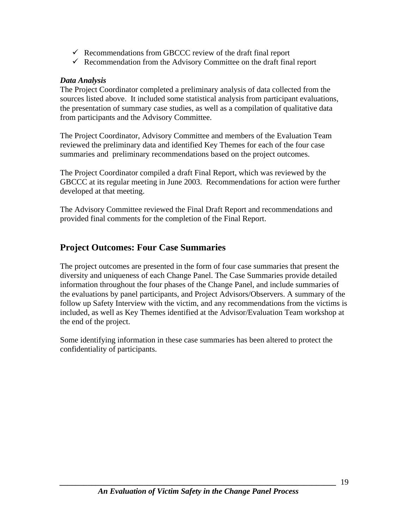- <span id="page-18-0"></span> $\checkmark$  Recommendations from GBCCC review of the draft final report
- $\checkmark$  Recommendation from the Advisory Committee on the draft final report

#### *Data Analysis*

The Project Coordinator completed a preliminary analysis of data collected from the sources listed above. It included some statistical analysis from participant evaluations, the presentation of summary case studies, as well as a compilation of qualitative data from participants and the Advisory Committee.

The Project Coordinator, Advisory Committee and members of the Evaluation Team reviewed the preliminary data and identified Key Themes for each of the four case summaries and preliminary recommendations based on the project outcomes.

The Project Coordinator compiled a draft Final Report, which was reviewed by the GBCCC at its regular meeting in June 2003. Recommendations for action were further developed at that meeting.

The Advisory Committee reviewed the Final Draft Report and recommendations and provided final comments for the completion of the Final Report.

## **Project Outcomes: Four Case Summaries**

The project outcomes are presented in the form of four case summaries that present the diversity and uniqueness of each Change Panel. The Case Summaries provide detailed information throughout the four phases of the Change Panel, and include summaries of the evaluations by panel participants, and Project Advisors/Observers. A summary of the follow up Safety Interview with the victim, and any recommendations from the victims is included, as well as Key Themes identified at the Advisor/Evaluation Team workshop at the end of the project.

Some identifying information in these case summaries has been altered to protect the confidentiality of participants.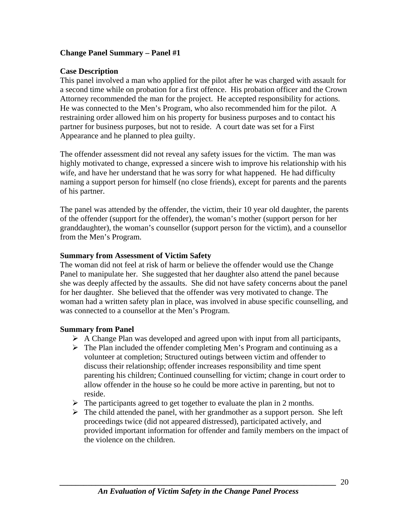#### <span id="page-19-0"></span>**Change Panel Summary – Panel #1**

#### **Case Description**

This panel involved a man who applied for the pilot after he was charged with assault for a second time while on probation for a first offence. His probation officer and the Crown Attorney recommended the man for the project. He accepted responsibility for actions. He was connected to the Men's Program, who also recommended him for the pilot. A restraining order allowed him on his property for business purposes and to contact his partner for business purposes, but not to reside. A court date was set for a First Appearance and he planned to plea guilty.

The offender assessment did not reveal any safety issues for the victim. The man was highly motivated to change, expressed a sincere wish to improve his relationship with his wife, and have her understand that he was sorry for what happened. He had difficulty naming a support person for himself (no close friends), except for parents and the parents of his partner.

The panel was attended by the offender, the victim, their 10 year old daughter, the parents of the offender (support for the offender), the woman's mother (support person for her granddaughter), the woman's counsellor (support person for the victim), and a counsellor from the Men's Program.

#### **Summary from Assessment of Victim Safety**

The woman did not feel at risk of harm or believe the offender would use the Change Panel to manipulate her. She suggested that her daughter also attend the panel because she was deeply affected by the assaults. She did not have safety concerns about the panel for her daughter. She believed that the offender was very motivated to change. The woman had a written safety plan in place, was involved in abuse specific counselling, and was connected to a counsellor at the Men's Program.

#### **Summary from Panel**

- $\triangleright$  A Change Plan was developed and agreed upon with input from all participants,
- $\triangleright$  The Plan included the offender completing Men's Program and continuing as a volunteer at completion; Structured outings between victim and offender to discuss their relationship; offender increases responsibility and time spent parenting his children; Continued counselling for victim; change in court order to allow offender in the house so he could be more active in parenting, but not to reside.
- $\triangleright$  The participants agreed to get together to evaluate the plan in 2 months.
- $\triangleright$  The child attended the panel, with her grandmother as a support person. She left proceedings twice (did not appeared distressed), participated actively, and provided important information for offender and family members on the impact of the violence on the children.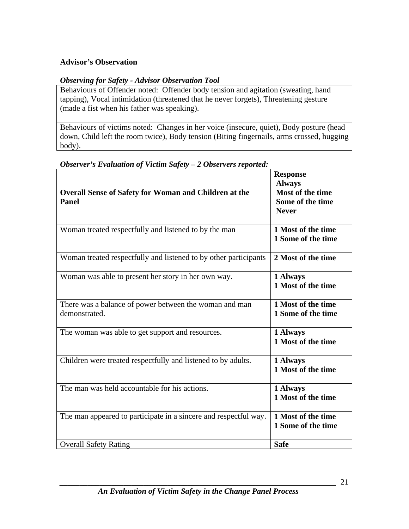#### **Advisor's Observation**

#### *Observing for Safety - Advisor Observation Tool*

Behaviours of Offender noted: Offender body tension and agitation (sweating, hand tapping), Vocal intimidation (threatened that he never forgets), Threatening gesture (made a fist when his father was speaking).

Behaviours of victims noted: Changes in her voice (insecure, quiet), Body posture (head down, Child left the room twice), Body tension (Biting fingernails, arms crossed, hugging body).

| <b>Overall Sense of Safety for Woman and Children at the</b><br><b>Panel</b> | <b>Response</b><br><b>Always</b><br>Most of the time<br>Some of the time<br><b>Never</b> |
|------------------------------------------------------------------------------|------------------------------------------------------------------------------------------|
| Woman treated respectfully and listened to by the man                        | 1 Most of the time<br>1 Some of the time                                                 |
| Woman treated respectfully and listened to by other participants             | 2 Most of the time                                                                       |
| Woman was able to present her story in her own way.                          | 1 Always<br>1 Most of the time                                                           |
| There was a balance of power between the woman and man<br>demonstrated.      | 1 Most of the time<br>1 Some of the time                                                 |
| The woman was able to get support and resources.                             | 1 Always<br>1 Most of the time                                                           |
| Children were treated respectfully and listened to by adults.                | 1 Always<br>1 Most of the time                                                           |
| The man was held accountable for his actions.                                | 1 Always<br>1 Most of the time                                                           |
| The man appeared to participate in a sincere and respectful way.             | 1 Most of the time<br>1 Some of the time                                                 |
| <b>Overall Safety Rating</b>                                                 | <b>Safe</b>                                                                              |

#### *Observer's Evaluation of Victim Safety – 2 Observers reported:*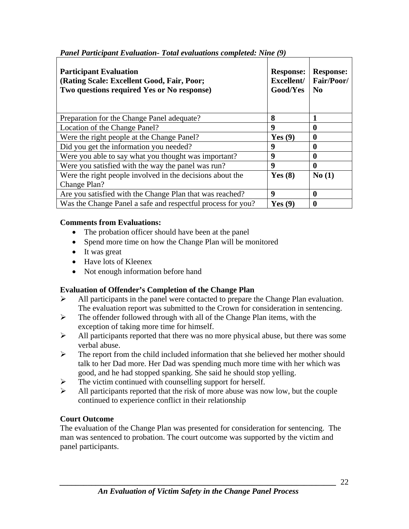| <b>Participant Evaluation</b><br>(Rating Scale: Excellent Good, Fair, Poor;<br>Two questions required Yes or No response) | <b>Response:</b><br>Excellent/<br>Good/Yes | <b>Response:</b><br>Fair/Poor/<br>$\bf No$ |
|---------------------------------------------------------------------------------------------------------------------------|--------------------------------------------|--------------------------------------------|
| Preparation for the Change Panel adequate?                                                                                | 8                                          |                                            |
| Location of the Change Panel?                                                                                             | $\boldsymbol{9}$                           | 0                                          |
| Were the right people at the Change Panel?                                                                                | Yes $(9)$                                  | 0                                          |
| Did you get the information you needed?                                                                                   | 9                                          | 0                                          |
| Were you able to say what you thought was important?                                                                      | 9                                          | 0                                          |
| Were you satisfied with the way the panel was run?                                                                        | 9                                          | 0                                          |
| Were the right people involved in the decisions about the<br>Change Plan?                                                 | Yes $(8)$                                  | No(1)                                      |
| Are you satisfied with the Change Plan that was reached?                                                                  | 9                                          | 0                                          |
| Was the Change Panel a safe and respectful process for you?                                                               | Yes(9)                                     | 0                                          |

*Panel Participant Evaluation- Total evaluations completed: Nine (9)*

#### **Comments from Evaluations:**

- The probation officer should have been at the panel
- Spend more time on how the Change Plan will be monitored
- It was great
- Have lots of Kleenex
- Not enough information before hand

## **Evaluation of Offender's Completion of the Change Plan**

- $\triangleright$  All participants in the panel were contacted to prepare the Change Plan evaluation. The evaluation report was submitted to the Crown for consideration in sentencing.
- $\triangleright$  The offender followed through with all of the Change Plan items, with the exception of taking more time for himself.
- $\triangleright$  All participants reported that there was no more physical abuse, but there was some verbal abuse.
- $\triangleright$  The report from the child included information that she believed her mother should talk to her Dad more. Her Dad was spending much more time with her which was good, and he had stopped spanking. She said he should stop yelling.
- $\triangleright$  The victim continued with counselling support for herself.
- $\blacktriangleright$  All participants reported that the risk of more abuse was now low, but the couple continued to experience conflict in their relationship

## **Court Outcome**

The evaluation of the Change Plan was presented for consideration for sentencing. The man was sentenced to probation. The court outcome was supported by the victim and panel participants.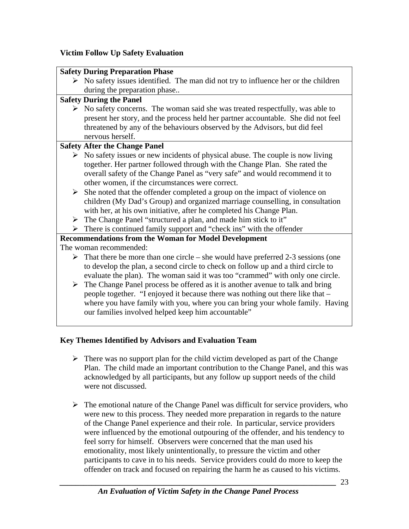#### **Victim Follow Up Safety Evaluation**

|   | <b>Safety During Preparation Phase</b>                                                             |  |  |
|---|----------------------------------------------------------------------------------------------------|--|--|
|   | $\triangleright$ No safety issues identified. The man did not try to influence her or the children |  |  |
|   | during the preparation phase                                                                       |  |  |
|   | <b>Safety During the Panel</b>                                                                     |  |  |
|   | $\triangleright$ No safety concerns. The woman said she was treated respectfully, was able to      |  |  |
|   | present her story, and the process held her partner accountable. She did not feel                  |  |  |
|   | threatened by any of the behaviours observed by the Advisors, but did feel                         |  |  |
|   | nervous herself.                                                                                   |  |  |
|   | <b>Safety After the Change Panel</b>                                                               |  |  |
|   | $\triangleright$ No safety issues or new incidents of physical abuse. The couple is now living     |  |  |
|   | together. Her partner followed through with the Change Plan. She rated the                         |  |  |
|   | overall safety of the Change Panel as "very safe" and would recommend it to                        |  |  |
|   | other women, if the circumstances were correct.                                                    |  |  |
| ➤ | She noted that the offender completed a group on the impact of violence on                         |  |  |
|   | children (My Dad's Group) and organized marriage counselling, in consultation                      |  |  |
|   | with her, at his own initiative, after he completed his Change Plan.                               |  |  |
|   | $\triangleright$ The Change Panel "structured a plan, and made him stick to it"                    |  |  |
| ➤ | There is continued family support and "check ins" with the offender                                |  |  |
|   | <b>Recommendations from the Woman for Model Development</b>                                        |  |  |
|   | The woman recommended:                                                                             |  |  |
|   | $\triangleright$ That there be more than one circle – she would have preferred 2-3 sessions (one   |  |  |
|   | to develop the plan, a second circle to check on follow up and a third circle to                   |  |  |
|   | evaluate the plan). The woman said it was too "crammed" with only one circle.                      |  |  |
|   | $\triangleright$ The Change Panel process be offered as it is another avenue to talk and bring     |  |  |
|   | people together. "I enjoyed it because there was nothing out there like that –                     |  |  |
|   | where you have family with you, where you can bring your whole family. Having                      |  |  |
|   | our families involved helped keep him accountable"                                                 |  |  |
|   |                                                                                                    |  |  |

#### **Key Themes Identified by Advisors and Evaluation Team**

- $\triangleright$  There was no support plan for the child victim developed as part of the Change Plan. The child made an important contribution to the Change Panel, and this was acknowledged by all participants, but any follow up support needs of the child were not discussed.
- $\triangleright$  The emotional nature of the Change Panel was difficult for service providers, who were new to this process. They needed more preparation in regards to the nature of the Change Panel experience and their role. In particular, service providers were influenced by the emotional outpouring of the offender, and his tendency to feel sorry for himself. Observers were concerned that the man used his emotionality, most likely unintentionally, to pressure the victim and other participants to cave in to his needs. Service providers could do more to keep the offender on track and focused on repairing the harm he as caused to his victims.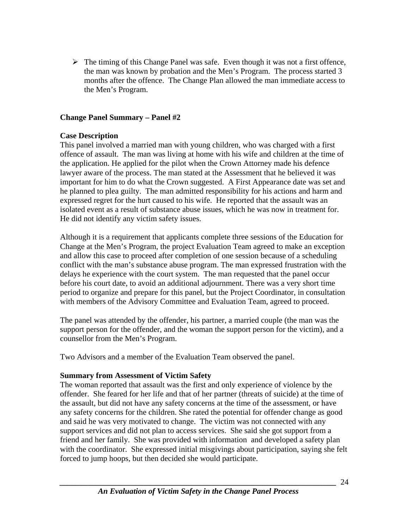<span id="page-23-0"></span> $\triangleright$  The timing of this Change Panel was safe. Even though it was not a first offence, the man was known by probation and the Men's Program. The process started 3 months after the offence. The Change Plan allowed the man immediate access to the Men's Program.

#### **Change Panel Summary – Panel #2**

#### **Case Description**

This panel involved a married man with young children, who was charged with a first offence of assault. The man was living at home with his wife and children at the time of the application. He applied for the pilot when the Crown Attorney made his defence lawyer aware of the process. The man stated at the Assessment that he believed it was important for him to do what the Crown suggested. A First Appearance date was set and he planned to plea guilty. The man admitted responsibility for his actions and harm and expressed regret for the hurt caused to his wife. He reported that the assault was an isolated event as a result of substance abuse issues, which he was now in treatment for. He did not identify any victim safety issues.

Although it is a requirement that applicants complete three sessions of the Education for Change at the Men's Program, the project Evaluation Team agreed to make an exception and allow this case to proceed after completion of one session because of a scheduling conflict with the man's substance abuse program. The man expressed frustration with the delays he experience with the court system. The man requested that the panel occur before his court date, to avoid an additional adjournment. There was a very short time period to organize and prepare for this panel, but the Project Coordinator, in consultation with members of the Advisory Committee and Evaluation Team, agreed to proceed.

The panel was attended by the offender, his partner, a married couple (the man was the support person for the offender, and the woman the support person for the victim), and a counsellor from the Men's Program.

Two Advisors and a member of the Evaluation Team observed the panel.

#### **Summary from Assessment of Victim Safety**

The woman reported that assault was the first and only experience of violence by the offender. She feared for her life and that of her partner (threats of suicide) at the time of the assault, but did not have any safety concerns at the time of the assessment, or have any safety concerns for the children. She rated the potential for offender change as good and said he was very motivated to change. The victim was not connected with any support services and did not plan to access services. She said she got support from a friend and her family. She was provided with information and developed a safety plan with the coordinator. She expressed initial misgivings about participation, saying she felt forced to jump hoops, but then decided she would participate.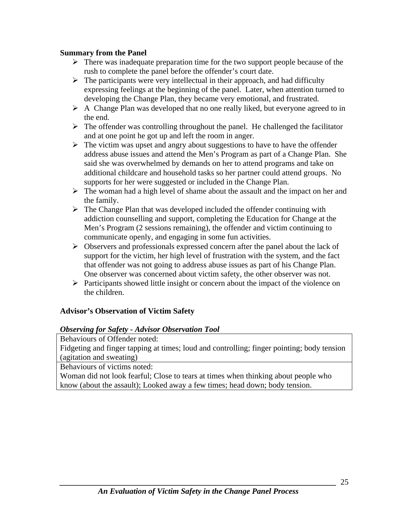#### **Summary from the Panel**

- $\triangleright$  There was inadequate preparation time for the two support people because of the rush to complete the panel before the offender's court date.
- $\triangleright$  The participants were very intellectual in their approach, and had difficulty expressing feelings at the beginning of the panel. Later, when attention turned to developing the Change Plan, they became very emotional, and frustrated.
- $\triangleright$  A Change Plan was developed that no one really liked, but everyone agreed to in the end.
- $\triangleright$  The offender was controlling throughout the panel. He challenged the facilitator and at one point he got up and left the room in anger.
- $\triangleright$  The victim was upset and angry about suggestions to have to have the offender address abuse issues and attend the Men's Program as part of a Change Plan. She said she was overwhelmed by demands on her to attend programs and take on additional childcare and household tasks so her partner could attend groups. No supports for her were suggested or included in the Change Plan.
- $\triangleright$  The woman had a high level of shame about the assault and the impact on her and the family.
- $\triangleright$  The Change Plan that was developed included the offender continuing with addiction counselling and support, completing the Education for Change at the Men's Program (2 sessions remaining), the offender and victim continuing to communicate openly, and engaging in some fun activities.
- ¾ Observers and professionals expressed concern after the panel about the lack of support for the victim, her high level of frustration with the system, and the fact that offender was not going to address abuse issues as part of his Change Plan. One observer was concerned about victim safety, the other observer was not.
- $\triangleright$  Participants showed little insight or concern about the impact of the violence on the children.

#### **Advisor's Observation of Victim Safety**

#### *Observing for Safety - Advisor Observation Tool*

Behaviours of Offender noted:

Fidgeting and finger tapping at times; loud and controlling; finger pointing; body tension (agitation and sweating)

Behaviours of victims noted:

Woman did not look fearful; Close to tears at times when thinking about people who know (about the assault); Looked away a few times; head down; body tension.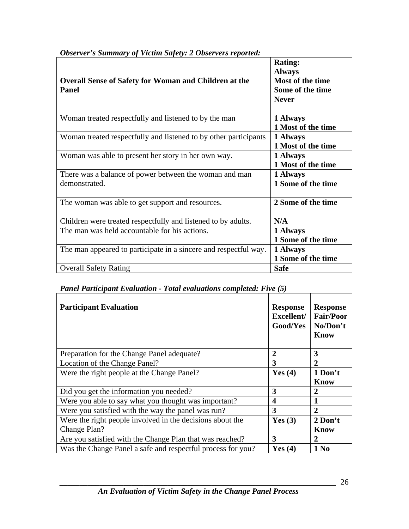| <b>Overall Sense of Safety for Woman and Children at the</b><br><b>Panel</b> | <b>Rating:</b><br><b>Always</b><br>Most of the time<br>Some of the time<br><b>Never</b> |
|------------------------------------------------------------------------------|-----------------------------------------------------------------------------------------|
| Woman treated respectfully and listened to by the man                        | 1 Always<br>1 Most of the time                                                          |
| Woman treated respectfully and listened to by other participants             | 1 Always<br>1 Most of the time                                                          |
| Woman was able to present her story in her own way.                          | 1 Always<br>1 Most of the time                                                          |
| There was a balance of power between the woman and man<br>demonstrated.      | 1 Always<br>1 Some of the time                                                          |
| The woman was able to get support and resources.                             | 2 Some of the time                                                                      |
| Children were treated respectfully and listened to by adults.                | N/A                                                                                     |
| The man was held accountable for his actions.                                | 1 Always<br>1 Some of the time                                                          |
| The man appeared to participate in a sincere and respectful way.             | 1 Always<br>1 Some of the time                                                          |
| <b>Overall Safety Rating</b>                                                 | <b>Safe</b>                                                                             |

## *Observer's Summary of Victim Safety: 2 Observers reported:*

#### *Panel Participant Evaluation - Total evaluations completed: Five (5)*

| <b>Participant Evaluation</b>                               | <b>Response</b><br>Excellent/<br>Good/Yes | <b>Response</b><br><b>Fair/Poor</b><br>No/Don't<br>Know |
|-------------------------------------------------------------|-------------------------------------------|---------------------------------------------------------|
| Preparation for the Change Panel adequate?                  | $\overline{2}$                            | 3                                                       |
| Location of the Change Panel?                               | 3                                         | $\mathbf 2$                                             |
| Were the right people at the Change Panel?                  | Yes $(4)$                                 | 1 Don't                                                 |
|                                                             |                                           | <b>Know</b>                                             |
| Did you get the information you needed?                     | 3                                         | 2                                                       |
| Were you able to say what you thought was important?        | 4                                         |                                                         |
| Were you satisfied with the way the panel was run?          | 3                                         | 2                                                       |
| Were the right people involved in the decisions about the   | Yes $(3)$                                 | 2 Don't                                                 |
| Change Plan?                                                |                                           | Know                                                    |
| Are you satisfied with the Change Plan that was reached?    | 3                                         | 2                                                       |
| Was the Change Panel a safe and respectful process for you? | Yes $(4)$                                 | 1 No                                                    |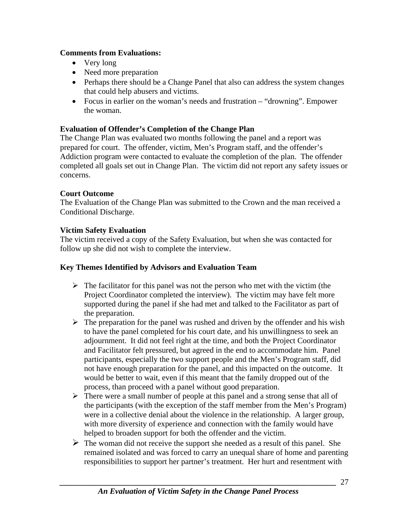#### **Comments from Evaluations:**

- Very long
- Need more preparation
- Perhaps there should be a Change Panel that also can address the system changes that could help abusers and victims.
- Focus in earlier on the woman's needs and frustration "drowning". Empower the woman.

#### **Evaluation of Offender's Completion of the Change Plan**

The Change Plan was evaluated two months following the panel and a report was prepared for court. The offender, victim, Men's Program staff, and the offender's Addiction program were contacted to evaluate the completion of the plan. The offender completed all goals set out in Change Plan. The victim did not report any safety issues or concerns.

#### **Court Outcome**

The Evaluation of the Change Plan was submitted to the Crown and the man received a Conditional Discharge.

#### **Victim Safety Evaluation**

The victim received a copy of the Safety Evaluation, but when she was contacted for follow up she did not wish to complete the interview.

#### **Key Themes Identified by Advisors and Evaluation Team**

- $\triangleright$  The facilitator for this panel was not the person who met with the victim (the Project Coordinator completed the interview). The victim may have felt more supported during the panel if she had met and talked to the Facilitator as part of the preparation.
- $\triangleright$  The preparation for the panel was rushed and driven by the offender and his wish to have the panel completed for his court date, and his unwillingness to seek an adjournment. It did not feel right at the time, and both the Project Coordinator and Facilitator felt pressured, but agreed in the end to accommodate him. Panel participants, especially the two support people and the Men's Program staff, did not have enough preparation for the panel, and this impacted on the outcome. It would be better to wait, even if this meant that the family dropped out of the process, than proceed with a panel without good preparation.
- $\triangleright$  There were a small number of people at this panel and a strong sense that all of the participants (with the exception of the staff member from the Men's Program) were in a collective denial about the violence in the relationship. A larger group, with more diversity of experience and connection with the family would have helped to broaden support for both the offender and the victim.
- $\triangleright$  The woman did not receive the support she needed as a result of this panel. She remained isolated and was forced to carry an unequal share of home and parenting responsibilities to support her partner's treatment. Her hurt and resentment with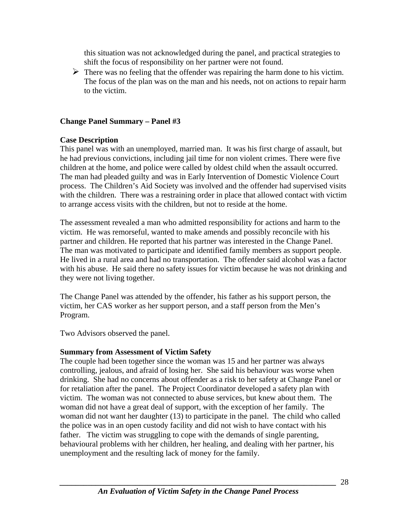<span id="page-27-0"></span>this situation was not acknowledged during the panel, and practical strategies to shift the focus of responsibility on her partner were not found.

 $\triangleright$  There was no feeling that the offender was repairing the harm done to his victim. The focus of the plan was on the man and his needs, not on actions to repair harm to the victim.

#### **Change Panel Summary – Panel #3**

#### **Case Description**

This panel was with an unemployed, married man. It was his first charge of assault, but he had previous convictions, including jail time for non violent crimes. There were five children at the home, and police were called by oldest child when the assault occurred. The man had pleaded guilty and was in Early Intervention of Domestic Violence Court process. The Children's Aid Society was involved and the offender had supervised visits with the children. There was a restraining order in place that allowed contact with victim to arrange access visits with the children, but not to reside at the home.

The assessment revealed a man who admitted responsibility for actions and harm to the victim. He was remorseful, wanted to make amends and possibly reconcile with his partner and children. He reported that his partner was interested in the Change Panel. The man was motivated to participate and identified family members as support people. He lived in a rural area and had no transportation. The offender said alcohol was a factor with his abuse. He said there no safety issues for victim because he was not drinking and they were not living together.

The Change Panel was attended by the offender, his father as his support person, the victim, her CAS worker as her support person, and a staff person from the Men's Program.

Two Advisors observed the panel.

#### **Summary from Assessment of Victim Safety**

The couple had been together since the woman was 15 and her partner was always controlling, jealous, and afraid of losing her. She said his behaviour was worse when drinking. She had no concerns about offender as a risk to her safety at Change Panel or for retaliation after the panel. The Project Coordinator developed a safety plan with victim. The woman was not connected to abuse services, but knew about them. The woman did not have a great deal of support, with the exception of her family. The woman did not want her daughter (13) to participate in the panel. The child who called the police was in an open custody facility and did not wish to have contact with his father. The victim was struggling to cope with the demands of single parenting, behavioural problems with her children, her healing, and dealing with her partner, his unemployment and the resulting lack of money for the family.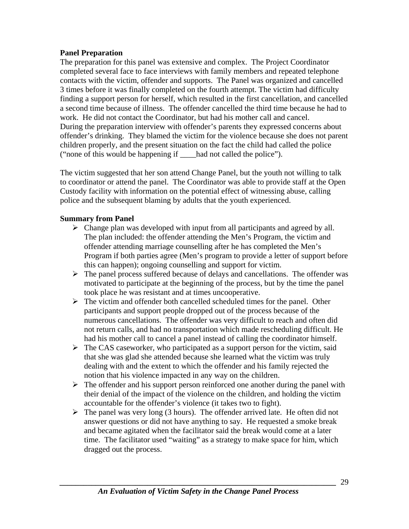#### **Panel Preparation**

The preparation for this panel was extensive and complex. The Project Coordinator completed several face to face interviews with family members and repeated telephone contacts with the victim, offender and supports. The Panel was organized and cancelled 3 times before it was finally completed on the fourth attempt. The victim had difficulty finding a support person for herself, which resulted in the first cancellation, and cancelled a second time because of illness. The offender cancelled the third time because he had to work. He did not contact the Coordinator, but had his mother call and cancel. During the preparation interview with offender's parents they expressed concerns about offender's drinking. They blamed the victim for the violence because she does not parent children properly, and the present situation on the fact the child had called the police ("none of this would be happening if \_\_\_\_had not called the police").

The victim suggested that her son attend Change Panel, but the youth not willing to talk to coordinator or attend the panel. The Coordinator was able to provide staff at the Open Custody facility with information on the potential effect of witnessing abuse, calling police and the subsequent blaming by adults that the youth experienced.

#### **Summary from Panel**

- $\triangleright$  Change plan was developed with input from all participants and agreed by all. The plan included: the offender attending the Men's Program, the victim and offender attending marriage counselling after he has completed the Men's Program if both parties agree (Men's program to provide a letter of support before this can happen); ongoing counselling and support for victim.
- $\triangleright$  The panel process suffered because of delays and cancellations. The offender was motivated to participate at the beginning of the process, but by the time the panel took place he was resistant and at times uncooperative.
- $\triangleright$  The victim and offender both cancelled scheduled times for the panel. Other participants and support people dropped out of the process because of the numerous cancellations. The offender was very difficult to reach and often did not return calls, and had no transportation which made rescheduling difficult. He had his mother call to cancel a panel instead of calling the coordinator himself.
- $\triangleright$  The CAS caseworker, who participated as a support person for the victim, said that she was glad she attended because she learned what the victim was truly dealing with and the extent to which the offender and his family rejected the notion that his violence impacted in any way on the children.
- $\triangleright$  The offender and his support person reinforced one another during the panel with their denial of the impact of the violence on the children, and holding the victim accountable for the offender's violence (it takes two to fight).
- $\triangleright$  The panel was very long (3 hours). The offender arrived late. He often did not answer questions or did not have anything to say. He requested a smoke break and became agitated when the facilitator said the break would come at a later time. The facilitator used "waiting" as a strategy to make space for him, which dragged out the process.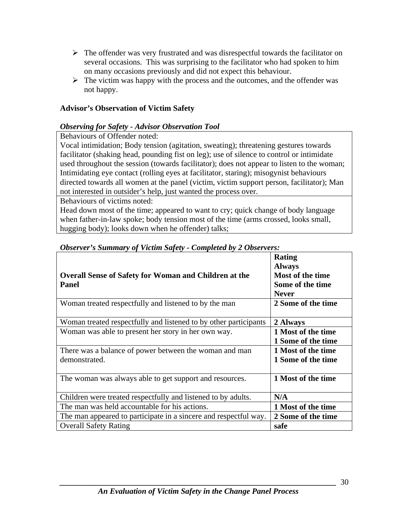- $\triangleright$  The offender was very frustrated and was disrespectful towards the facilitator on several occasions. This was surprising to the facilitator who had spoken to him on many occasions previously and did not expect this behaviour.
- $\triangleright$  The victim was happy with the process and the outcomes, and the offender was not happy.

#### **Advisor's Observation of Victim Safety**

#### *Observing for Safety - Advisor Observation Tool*

Behaviours of Offender noted:

Vocal intimidation; Body tension (agitation, sweating); threatening gestures towards facilitator (shaking head, pounding fist on leg); use of silence to control or intimidate used throughout the session (towards facilitator); does not appear to listen to the woman; Intimidating eye contact (rolling eyes at facilitator, staring); misogynist behaviours directed towards all women at the panel (victim, victim support person, facilitator); Man not interested in outsider's help, just wanted the process over.

Behaviours of victims noted:

Head down most of the time; appeared to want to cry; quick change of body language when father-in-law spoke; body tension most of the time (arms crossed, looks small, hugging body); looks down when he offender) talks;

| <b>Overall Sense of Safety for Woman and Children at the</b><br><b>Panel</b> | Rating<br><b>Always</b><br>Most of the time<br>Some of the time<br><b>Never</b> |
|------------------------------------------------------------------------------|---------------------------------------------------------------------------------|
| Woman treated respectfully and listened to by the man                        | 2 Some of the time                                                              |
| Woman treated respectfully and listened to by other participants             | 2 Always                                                                        |
| Woman was able to present her story in her own way.                          | 1 Most of the time<br>1 Some of the time                                        |
| There was a balance of power between the woman and man<br>demonstrated.      | 1 Most of the time<br>1 Some of the time                                        |
| The woman was always able to get support and resources.                      | 1 Most of the time                                                              |
| Children were treated respectfully and listened to by adults.                | N/A                                                                             |
| The man was held accountable for his actions.                                | 1 Most of the time                                                              |
| The man appeared to participate in a sincere and respectful way.             | 2 Some of the time                                                              |
| <b>Overall Safety Rating</b>                                                 | safe                                                                            |

#### *Observer's Summary of Victim Safety - Completed by 2 Observers:*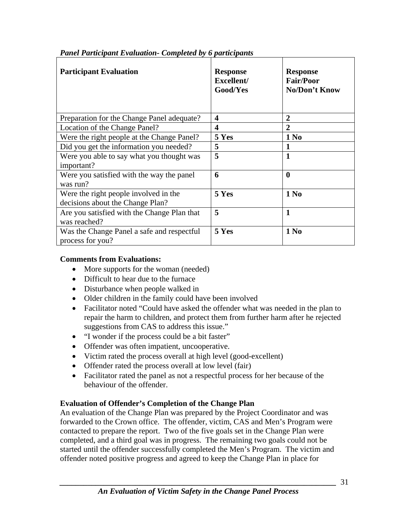| <b>Participant Evaluation</b>                                             | <b>Response</b><br>Excellent/<br><b>Good/Yes</b> | <b>Response</b><br><b>Fair/Poor</b><br>No/Don't Know |
|---------------------------------------------------------------------------|--------------------------------------------------|------------------------------------------------------|
| Preparation for the Change Panel adequate?                                | $\boldsymbol{4}$                                 | $\overline{2}$                                       |
| Location of the Change Panel?                                             | $\overline{\mathbf{4}}$                          | $\mathbf{2}$                                         |
| Were the right people at the Change Panel?                                | 5 Yes                                            | 1 N <sub>0</sub>                                     |
| Did you get the information you needed?                                   | 5                                                | 1                                                    |
| Were you able to say what you thought was<br>important?                   | 5                                                | $\mathbf{1}$                                         |
| Were you satisfied with the way the panel<br>was run?                     | 6                                                | $\boldsymbol{0}$                                     |
| Were the right people involved in the<br>decisions about the Change Plan? | 5 Yes                                            | 1 No                                                 |
| Are you satisfied with the Change Plan that<br>was reached?               | 5                                                | $\mathbf{1}$                                         |
| Was the Change Panel a safe and respectful<br>process for you?            | 5 Yes                                            | 1 <sub>0</sub>                                       |

#### *Panel Participant Evaluation- Completed by 6 participants*

#### **Comments from Evaluations:**

- More supports for the woman (needed)
- Difficult to hear due to the furnace
- Disturbance when people walked in
- Older children in the family could have been involved
- Facilitator noted "Could have asked the offender what was needed in the plan to repair the harm to children, and protect them from further harm after he rejected suggestions from CAS to address this issue."
- "I wonder if the process could be a bit faster"
- Offender was often impatient, uncooperative.
- Victim rated the process overall at high level (good-excellent)
- Offender rated the process overall at low level (fair)
- Facilitator rated the panel as not a respectful process for her because of the behaviour of the offender.

#### **Evaluation of Offender's Completion of the Change Plan**

An evaluation of the Change Plan was prepared by the Project Coordinator and was forwarded to the Crown office. The offender, victim, CAS and Men's Program were contacted to prepare the report. Two of the five goals set in the Change Plan were completed, and a third goal was in progress. The remaining two goals could not be started until the offender successfully completed the Men's Program. The victim and offender noted positive progress and agreed to keep the Change Plan in place for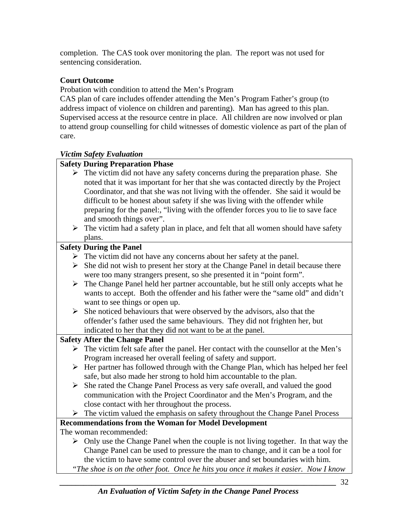completion. The CAS took over monitoring the plan. The report was not used for sentencing consideration.

## **Court Outcome**

Probation with condition to attend the Men's Program

CAS plan of care includes offender attending the Men's Program Father's group (to address impact of violence on children and parenting). Man has agreed to this plan. Supervised access at the resource centre in place. All children are now involved or plan to attend group counselling for child witnesses of domestic violence as part of the plan of care.

#### *Victim Safety Evaluation*

#### **Safety During Preparation Phase**

- $\triangleright$  The victim did not have any safety concerns during the preparation phase. She noted that it was important for her that she was contacted directly by the Project Coordinator, and that she was not living with the offender. She said it would be difficult to be honest about safety if she was living with the offender while preparing for the panel:, "living with the offender forces you to lie to save face and smooth things over".
	- $\triangleright$  The victim had a safety plan in place, and felt that all women should have safety plans.

#### **Safety During the Panel**

- $\triangleright$  The victim did not have any concerns about her safety at the panel.
- $\triangleright$  She did not wish to present her story at the Change Panel in detail because there were too many strangers present, so she presented it in "point form".
- $\triangleright$  The Change Panel held her partner accountable, but he still only accepts what he wants to accept. Both the offender and his father were the "same old" and didn't want to see things or open up.
- $\triangleright$  She noticed behaviours that were observed by the advisors, also that the offender's father used the same behaviours. They did not frighten her, but indicated to her that they did not want to be at the panel.

## **Safety After the Change Panel**

- $\triangleright$  The victim felt safe after the panel. Her contact with the counsellor at the Men's Program increased her overall feeling of safety and support.
- $\triangleright$  Her partner has followed through with the Change Plan, which has helped her feel safe, but also made her strong to hold him accountable to the plan.
- ¾ She rated the Change Panel Process as very safe overall, and valued the good communication with the Project Coordinator and the Men's Program, and the close contact with her throughout the process.
- $\triangleright$  The victim valued the emphasis on safety throughout the Change Panel Process

## **Recommendations from the Woman for Model Development**

The woman recommended:

 $\triangleright$  Only use the Change Panel when the couple is not living together. In that way the Change Panel can be used to pressure the man to change, and it can be a tool for the victim to have some control over the abuser and set boundaries with him. *"The shoe is on the other foot. Once he hits you once it makes it easier. Now I know*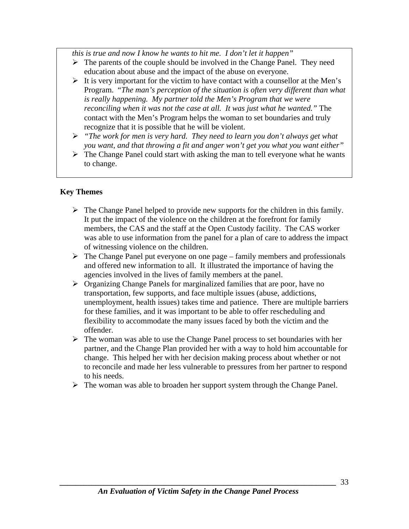*this is true and now I know he wants to hit me. I don't let it happen"* 

- $\triangleright$  The parents of the couple should be involved in the Change Panel. They need education about abuse and the impact of the abuse on everyone.
- $\triangleright$  It is very important for the victim to have contact with a counsellor at the Men's Program. "*The man's perception of the situation is often very different than what is really happening. My partner told the Men's Program that we were reconciling when it was not the case at all. It was just what he wanted."* The contact with the Men's Program helps the woman to set boundaries and truly recognize that it is possible that he will be violent.
- ¾ *"The work for men is very hard. They need to learn you don't always get what you want, and that throwing a fit and anger won't get you what you want either"*
- $\triangleright$  The Change Panel could start with asking the man to tell everyone what he wants to change.

#### **Key Themes**

- $\triangleright$  The Change Panel helped to provide new supports for the children in this family. It put the impact of the violence on the children at the forefront for family members, the CAS and the staff at the Open Custody facility. The CAS worker was able to use information from the panel for a plan of care to address the impact of witnessing violence on the children.
- $\triangleright$  The Change Panel put everyone on one page family members and professionals and offered new information to all. It illustrated the importance of having the agencies involved in the lives of family members at the panel.
- ¾ Organizing Change Panels for marginalized families that are poor, have no transportation, few supports, and face multiple issues (abuse, addictions, unemployment, health issues) takes time and patience. There are multiple barriers for these families, and it was important to be able to offer rescheduling and flexibility to accommodate the many issues faced by both the victim and the offender.
- $\triangleright$  The woman was able to use the Change Panel process to set boundaries with her partner, and the Change Plan provided her with a way to hold him accountable for change. This helped her with her decision making process about whether or not to reconcile and made her less vulnerable to pressures from her partner to respond to his needs.
- $\triangleright$  The woman was able to broaden her support system through the Change Panel.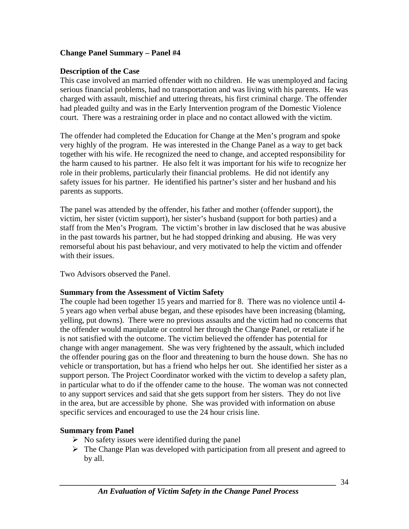#### <span id="page-33-0"></span>**Change Panel Summary – Panel #4**

#### **Description of the Case**

This case involved an married offender with no children. He was unemployed and facing serious financial problems, had no transportation and was living with his parents. He was charged with assault, mischief and uttering threats, his first criminal charge. The offender had pleaded guilty and was in the Early Intervention program of the Domestic Violence court. There was a restraining order in place and no contact allowed with the victim.

The offender had completed the Education for Change at the Men's program and spoke very highly of the program. He was interested in the Change Panel as a way to get back together with his wife. He recognized the need to change, and accepted responsibility for the harm caused to his partner. He also felt it was important for his wife to recognize her role in their problems, particularly their financial problems. He did not identify any safety issues for his partner. He identified his partner's sister and her husband and his parents as supports.

The panel was attended by the offender, his father and mother (offender support), the victim, her sister (victim support), her sister's husband (support for both parties) and a staff from the Men's Program. The victim's brother in law disclosed that he was abusive in the past towards his partner, but he had stopped drinking and abusing. He was very remorseful about his past behaviour, and very motivated to help the victim and offender with their issues.

Two Advisors observed the Panel.

#### **Summary from the Assessment of Victim Safety**

The couple had been together 15 years and married for 8. There was no violence until 4- 5 years ago when verbal abuse began, and these episodes have been increasing (blaming, yelling, put downs). There were no previous assaults and the victim had no concerns that the offender would manipulate or control her through the Change Panel, or retaliate if he is not satisfied with the outcome. The victim believed the offender has potential for change with anger management. She was very frightened by the assault, which included the offender pouring gas on the floor and threatening to burn the house down. She has no vehicle or transportation, but has a friend who helps her out. She identified her sister as a support person. The Project Coordinator worked with the victim to develop a safety plan, in particular what to do if the offender came to the house. The woman was not connected to any support services and said that she gets support from her sisters. They do not live in the area, but are accessible by phone. She was provided with information on abuse specific services and encouraged to use the 24 hour crisis line.

#### **Summary from Panel**

- $\triangleright$  No safety issues were identified during the panel
- $\triangleright$  The Change Plan was developed with participation from all present and agreed to by all.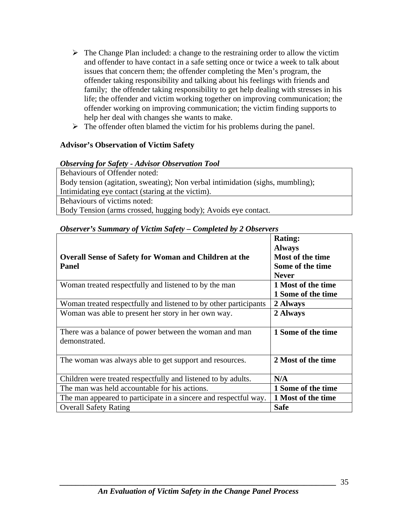- $\triangleright$  The Change Plan included: a change to the restraining order to allow the victim and offender to have contact in a safe setting once or twice a week to talk about issues that concern them; the offender completing the Men's program, the offender taking responsibility and talking about his feelings with friends and family; the offender taking responsibility to get help dealing with stresses in his life; the offender and victim working together on improving communication; the offender working on improving communication; the victim finding supports to help her deal with changes she wants to make.
- $\triangleright$  The offender often blamed the victim for his problems during the panel.

#### **Advisor's Observation of Victim Safety**

#### *Observing for Safety - Advisor Observation Tool*

Behaviours of Offender noted: Body tension (agitation, sweating); Non verbal intimidation (sighs, mumbling); Intimidating eye contact (staring at the victim). Behaviours of victims noted:

Body Tension (arms crossed, hugging body); Avoids eye contact.

|                                                                  | <b>Rating:</b>     |
|------------------------------------------------------------------|--------------------|
|                                                                  | <b>Always</b>      |
| <b>Overall Sense of Safety for Woman and Children at the</b>     | Most of the time   |
| <b>Panel</b>                                                     | Some of the time   |
|                                                                  | <b>Never</b>       |
| Woman treated respectfully and listened to by the man            | 1 Most of the time |
|                                                                  | 1 Some of the time |
| Woman treated respectfully and listened to by other participants | 2 Always           |
| Woman was able to present her story in her own way.              | 2 Always           |
|                                                                  |                    |
| There was a balance of power between the woman and man           | 1 Some of the time |
| demonstrated.                                                    |                    |
|                                                                  |                    |
| The woman was always able to get support and resources.          | 2 Most of the time |
|                                                                  |                    |
| Children were treated respectfully and listened to by adults.    | N/A                |
| The man was held accountable for his actions.                    | 1 Some of the time |
| The man appeared to participate in a sincere and respectful way. | 1 Most of the time |
| <b>Overall Safety Rating</b>                                     | <b>Safe</b>        |

#### *Observer's Summary of Victim Safety – Completed by 2 Observers*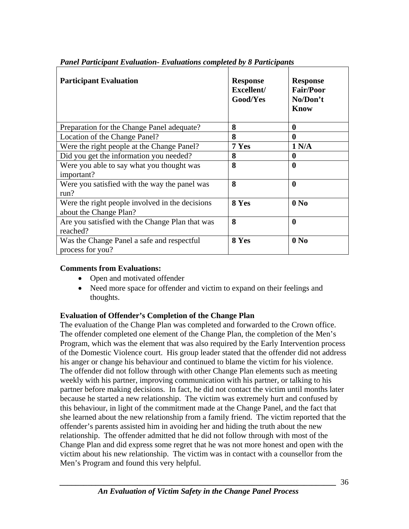| <b>Participant Evaluation</b>                                             | <b>Response</b><br>Excellent/<br><b>Good/Yes</b> | <b>Response</b><br><b>Fair/Poor</b><br>No/Don't<br><b>Know</b> |
|---------------------------------------------------------------------------|--------------------------------------------------|----------------------------------------------------------------|
| Preparation for the Change Panel adequate?                                | 8                                                | 0                                                              |
| Location of the Change Panel?                                             | 8                                                | 0                                                              |
| Were the right people at the Change Panel?                                | 7 Yes                                            | 1 N/A                                                          |
| Did you get the information you needed?                                   | 8                                                | 0                                                              |
| Were you able to say what you thought was<br>important?                   | 8                                                | $\bf{0}$                                                       |
| Were you satisfied with the way the panel was<br>run?                     | 8                                                | $\bf{0}$                                                       |
| Were the right people involved in the decisions<br>about the Change Plan? | 8 Yes                                            | 0 N <sub>0</sub>                                               |
| Are you satisfied with the Change Plan that was<br>reached?               | 8                                                | $\bf{0}$                                                       |
| Was the Change Panel a safe and respectful<br>process for you?            | 8 Yes                                            | 0 N <sub>0</sub>                                               |

*Panel Participant Evaluation- Evaluations completed by 8 Participants* 

#### **Comments from Evaluations:**

- Open and motivated offender
- Need more space for offender and victim to expand on their feelings and thoughts.

#### **Evaluation of Offender's Completion of the Change Plan**

The evaluation of the Change Plan was completed and forwarded to the Crown office. The offender completed one element of the Change Plan, the completion of the Men's Program, which was the element that was also required by the Early Intervention process of the Domestic Violence court. His group leader stated that the offender did not address his anger or change his behaviour and continued to blame the victim for his violence. The offender did not follow through with other Change Plan elements such as meeting weekly with his partner, improving communication with his partner, or talking to his partner before making decisions. In fact, he did not contact the victim until months later because he started a new relationship. The victim was extremely hurt and confused by this behaviour, in light of the commitment made at the Change Panel, and the fact that she learned about the new relationship from a family friend. The victim reported that the offender's parents assisted him in avoiding her and hiding the truth about the new relationship. The offender admitted that he did not follow through with most of the Change Plan and did express some regret that he was not more honest and open with the victim about his new relationship. The victim was in contact with a counsellor from the Men's Program and found this very helpful.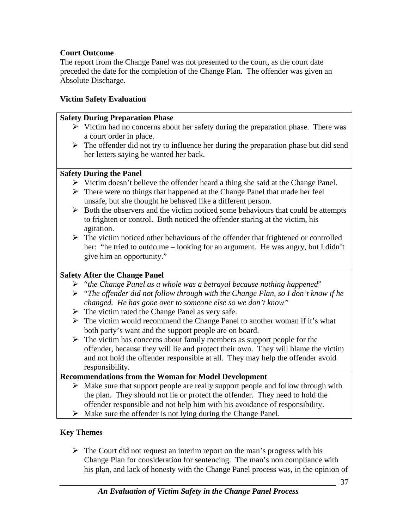#### **Court Outcome**

The report from the Change Panel was not presented to the court, as the court date preceded the date for the completion of the Change Plan. The offender was given an Absolute Discharge.

#### **Victim Safety Evaluation**

#### **Safety During Preparation Phase**

- $\triangleright$  Victim had no concerns about her safety during the preparation phase. There was a court order in place.
- $\triangleright$  The offender did not try to influence her during the preparation phase but did send her letters saying he wanted her back.

#### **Safety During the Panel**

- $\triangleright$  Victim doesn't believe the offender heard a thing she said at the Change Panel.
- $\triangleright$  There were no things that happened at the Change Panel that made her feel unsafe, but she thought he behaved like a different person.
- $\triangleright$  Both the observers and the victim noticed some behaviours that could be attempts to frighten or control. Both noticed the offender staring at the victim, his agitation.
- $\triangleright$  The victim noticed other behaviours of the offender that frightened or controlled her: "he tried to outdo me – looking for an argument. He was angry, but I didn't give him an opportunity."

#### **Safety After the Change Panel**

- ¾ "*the Change Panel as a whole was a betrayal because nothing happened*"
- ¾ "*The offender did not follow through with the Change Plan, so I don't know if he changed. He has gone over to someone else so we don't know"*
- $\triangleright$  The victim rated the Change Panel as very safe.
- $\triangleright$  The victim would recommend the Change Panel to another woman if it's what both party's want and the support people are on board.
- $\triangleright$  The victim has concerns about family members as support people for the offender, because they will lie and protect their own. They will blame the victim and not hold the offender responsible at all. They may help the offender avoid responsibility.

#### **Recommendations from the Woman for Model Development**

- $\triangleright$  Make sure that support people are really support people and follow through with the plan. They should not lie or protect the offender. They need to hold the offender responsible and not help him with his avoidance of responsibility.
- $\triangleright$  Make sure the offender is not lying during the Change Panel.

#### **Key Themes**

 $\triangleright$  The Court did not request an interim report on the man's progress with his Change Plan for consideration for sentencing. The man's non compliance with his plan, and lack of honesty with the Change Panel process was, in the opinion of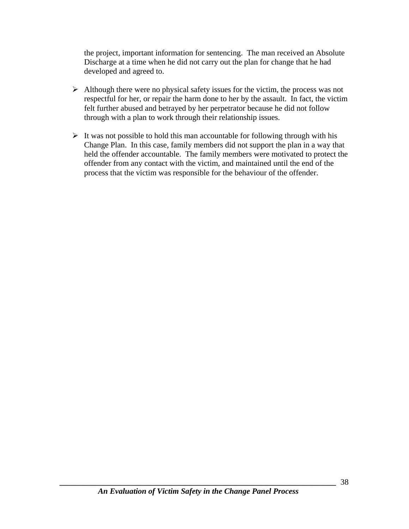the project, important information for sentencing. The man received an Absolute Discharge at a time when he did not carry out the plan for change that he had developed and agreed to.

- $\triangleright$  Although there were no physical safety issues for the victim, the process was not respectful for her, or repair the harm done to her by the assault. In fact, the victim felt further abused and betrayed by her perpetrator because he did not follow through with a plan to work through their relationship issues.
- $\triangleright$  It was not possible to hold this man accountable for following through with his Change Plan. In this case, family members did not support the plan in a way that held the offender accountable. The family members were motivated to protect the offender from any contact with the victim, and maintained until the end of the process that the victim was responsible for the behaviour of the offender.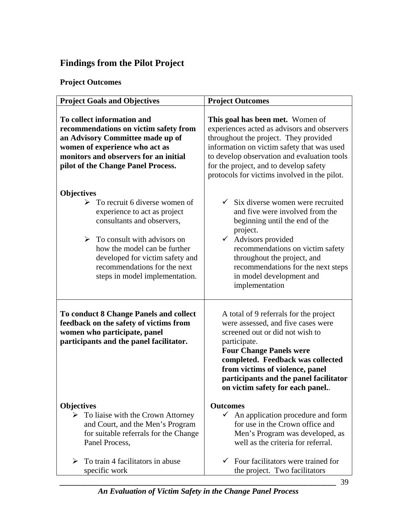## <span id="page-38-0"></span>**Findings from the Pilot Project**

## **Project Outcomes**

| <b>Project Goals and Objectives</b>                                                                                                                                                                                                                                                                        | <b>Project Outcomes</b>                                                                                                                                                                                                                                                                                                    |
|------------------------------------------------------------------------------------------------------------------------------------------------------------------------------------------------------------------------------------------------------------------------------------------------------------|----------------------------------------------------------------------------------------------------------------------------------------------------------------------------------------------------------------------------------------------------------------------------------------------------------------------------|
| To collect information and<br>recommendations on victim safety from<br>an Advisory Committee made up of<br>women of experience who act as<br>monitors and observers for an initial<br>pilot of the Change Panel Process.                                                                                   | This goal has been met. Women of<br>experiences acted as advisors and observers<br>throughout the project. They provided<br>information on victim safety that was used<br>to develop observation and evaluation tools<br>for the project, and to develop safety<br>protocols for victims involved in the pilot.            |
| <b>Objectives</b><br>To recruit 6 diverse women of<br>➤<br>experience to act as project<br>consultants and observers,<br>$\triangleright$ To consult with advisors on<br>how the model can be further<br>developed for victim safety and<br>recommendations for the next<br>steps in model implementation. | $\checkmark$ Six diverse women were recruited<br>and five were involved from the<br>beginning until the end of the<br>project.<br>Advisors provided<br>$\checkmark$<br>recommendations on victim safety<br>throughout the project, and<br>recommendations for the next steps<br>in model development and<br>implementation |
| <b>To conduct 8 Change Panels and collect</b><br>feedback on the safety of victims from<br>women who participate, panel<br>participants and the panel facilitator.                                                                                                                                         | A total of 9 referrals for the project<br>were assessed, and five cases were<br>screened out or did not wish to<br>participate.<br><b>Four Change Panels were</b><br>completed. Feedback was collected<br>from victims of violence, panel<br>participants and the panel facilitator<br>on victim safety for each panel     |
| <b>Objectives</b><br>To liaise with the Crown Attorney<br>➤<br>and Court, and the Men's Program<br>for suitable referrals for the Change<br>Panel Process,                                                                                                                                                 | <b>Outcomes</b><br>$\checkmark$<br>An application procedure and form<br>for use in the Crown office and<br>Men's Program was developed, as<br>well as the criteria for referral.                                                                                                                                           |
| To train 4 facilitators in abuse<br>⋗<br>specific work                                                                                                                                                                                                                                                     | Four facilitators were trained for<br>the project. Two facilitators                                                                                                                                                                                                                                                        |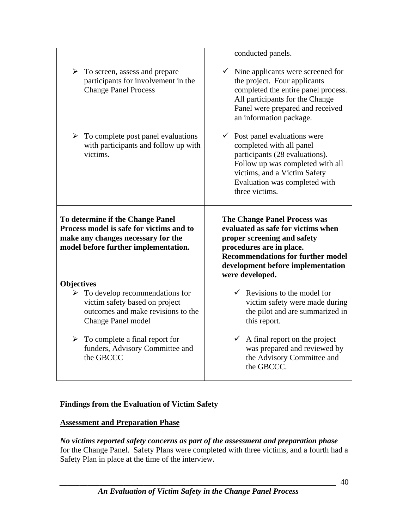<span id="page-39-0"></span>

|                                                                                                                                                            | conducted panels.                                                                                                                                                                                                                        |
|------------------------------------------------------------------------------------------------------------------------------------------------------------|------------------------------------------------------------------------------------------------------------------------------------------------------------------------------------------------------------------------------------------|
| $\triangleright$ To screen, assess and prepare<br>participants for involvement in the<br><b>Change Panel Process</b>                                       | $\checkmark$ Nine applicants were screened for<br>the project. Four applicants<br>completed the entire panel process.<br>All participants for the Change<br>Panel were prepared and received<br>an information package.                  |
| $\triangleright$ To complete post panel evaluations<br>with participants and follow up with<br>victims.                                                    | $\checkmark$ Post panel evaluations were<br>completed with all panel<br>participants (28 evaluations).<br>Follow up was completed with all<br>victims, and a Victim Safety<br>Evaluation was completed with<br>three victims.            |
|                                                                                                                                                            |                                                                                                                                                                                                                                          |
| To determine if the Change Panel<br>Process model is safe for victims and to<br>make any changes necessary for the<br>model before further implementation. | <b>The Change Panel Process was</b><br>evaluated as safe for victims when<br>proper screening and safety<br>procedures are in place.<br><b>Recommendations for further model</b><br>development before implementation<br>were developed. |
| <b>Objectives</b>                                                                                                                                          |                                                                                                                                                                                                                                          |
| $\triangleright$ To develop recommendations for<br>victim safety based on project<br>outcomes and make revisions to the<br>Change Panel model              | $\checkmark$ Revisions to the model for<br>victim safety were made during<br>the pilot and are summarized in<br>this report.                                                                                                             |

#### **Findings from the Evaluation of Victim Safety**

#### **Assessment and Preparation Phase**

*No victims reported safety concerns as part of the assessment and preparation phase* for the Change Panel. Safety Plans were completed with three victims, and a fourth had a Safety Plan in place at the time of the interview.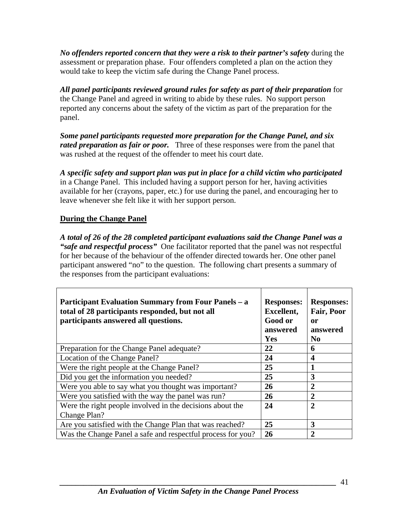*No offenders reported concern that they were a risk to their partner's safety* during the assessment or preparation phase. Four offenders completed a plan on the action they would take to keep the victim safe during the Change Panel process.

All panel participants reviewed ground rules for safety as part of their preparation for the Change Panel and agreed in writing to abide by these rules. No support person reported any concerns about the safety of the victim as part of the preparation for the panel.

*Some panel participants requested more preparation for the Change Panel, and six rated preparation as fair or poor.* Three of these responses were from the panel that was rushed at the request of the offender to meet his court date.

*A specific safety and support plan was put in place for a child victim who participated* in a Change Panel. This included having a support person for her, having activities available for her (crayons, paper, etc.) for use during the panel, and encouraging her to leave whenever she felt like it with her support person.

#### **During the Change Panel**

*A total of 26 of the 28 completed participant evaluations said the Change Panel was a "safe and respectful process"* One facilitator reported that the panel was not respectful for her because of the behaviour of the offender directed towards her. One other panel participant answered "no" to the question. The following chart presents a summary of the responses from the participant evaluations:

| <b>Participant Evaluation Summary from Four Panels – a</b><br>total of 28 participants responded, but not all<br>participants answered all questions. | <b>Responses:</b><br><b>Excellent,</b><br>Good or<br>answered<br>Yes | <b>Responses:</b><br>Fair, Poor<br><sub>or</sub><br>answered<br>No |
|-------------------------------------------------------------------------------------------------------------------------------------------------------|----------------------------------------------------------------------|--------------------------------------------------------------------|
| Preparation for the Change Panel adequate?                                                                                                            | 22                                                                   | 6                                                                  |
| Location of the Change Panel?                                                                                                                         | 24                                                                   | $\boldsymbol{4}$                                                   |
| Were the right people at the Change Panel?                                                                                                            | 25                                                                   | 1                                                                  |
| Did you get the information you needed?                                                                                                               | 25                                                                   | 3                                                                  |
| Were you able to say what you thought was important?                                                                                                  | 26                                                                   | $\overline{2}$                                                     |
| Were you satisfied with the way the panel was run?                                                                                                    | 26                                                                   | $\overline{2}$                                                     |
| Were the right people involved in the decisions about the                                                                                             | 24                                                                   | $\overline{2}$                                                     |
| Change Plan?                                                                                                                                          |                                                                      |                                                                    |
| Are you satisfied with the Change Plan that was reached?                                                                                              | 25                                                                   | 3                                                                  |
| Was the Change Panel a safe and respectful process for you?                                                                                           | 26                                                                   | $\overline{2}$                                                     |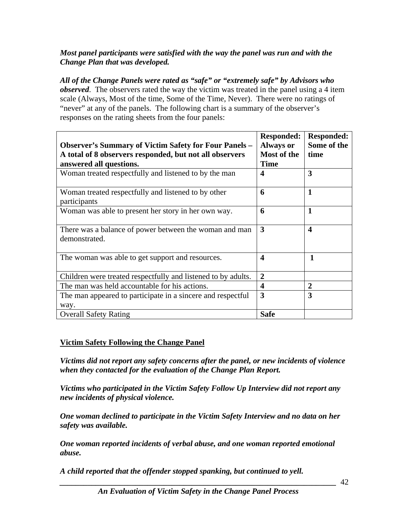#### *Most panel participants were satisfied with the way the panel was run and with the Change Plan that was developed.*

*All of the Change Panels were rated as "safe" or "extremely safe" by Advisors who observed*. The observers rated the way the victim was treated in the panel using a 4 item scale (Always, Most of the time, Some of the Time, Never). There were no ratings of "never" at any of the panels. The following chart is a summary of the observer's responses on the rating sheets from the four panels:

|                                                                                                                         | <b>Responded:</b>               | <b>Responded:</b><br>Some of the |
|-------------------------------------------------------------------------------------------------------------------------|---------------------------------|----------------------------------|
| <b>Observer's Summary of Victim Safety for Four Panels –</b><br>A total of 8 observers responded, but not all observers | <b>Always or</b><br>Most of the | time                             |
| answered all questions.                                                                                                 | <b>Time</b>                     |                                  |
| Woman treated respectfully and listened to by the man                                                                   | 4                               | 3                                |
| Woman treated respectfully and listened to by other<br>participants                                                     | 6                               | $\mathbf{1}$                     |
| Woman was able to present her story in her own way.                                                                     | 6                               | $\mathbf{1}$                     |
| There was a balance of power between the woman and man<br>demonstrated.                                                 | 3                               | $\boldsymbol{4}$                 |
| The woman was able to get support and resources.                                                                        | $\overline{\mathbf{4}}$         | $\mathbf{1}$                     |
| Children were treated respectfully and listened to by adults.                                                           | $\overline{2}$                  |                                  |
| The man was held accountable for his actions.                                                                           | $\overline{\mathbf{4}}$         | $\overline{2}$                   |
| The man appeared to participate in a sincere and respectful<br>way.                                                     | 3                               | 3                                |
| <b>Overall Safety Rating</b>                                                                                            | <b>Safe</b>                     |                                  |

#### **Victim Safety Following the Change Panel**

*Victims did not report any safety concerns after the panel, or new incidents of violence when they contacted for the evaluation of the Change Plan Report.* 

*Victims who participated in the Victim Safety Follow Up Interview did not report any new incidents of physical violence.* 

*One woman declined to participate in the Victim Safety Interview and no data on her safety was available.* 

*One woman reported incidents of verbal abuse, and one woman reported emotional abuse.* 

*A child reported that the offender stopped spanking, but continued to yell.*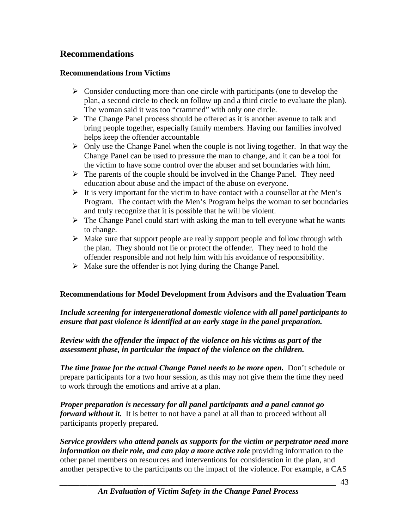## <span id="page-42-0"></span>**Recommendations**

#### **Recommendations from Victims**

- $\triangleright$  Consider conducting more than one circle with participants (one to develop the plan, a second circle to check on follow up and a third circle to evaluate the plan). The woman said it was too "crammed" with only one circle.
- $\triangleright$  The Change Panel process should be offered as it is another avenue to talk and bring people together, especially family members. Having our families involved helps keep the offender accountable
- $\triangleright$  Only use the Change Panel when the couple is not living together. In that way the Change Panel can be used to pressure the man to change, and it can be a tool for the victim to have some control over the abuser and set boundaries with him.
- $\triangleright$  The parents of the couple should be involved in the Change Panel. They need education about abuse and the impact of the abuse on everyone.
- $\triangleright$  It is very important for the victim to have contact with a counsellor at the Men's Program. The contact with the Men's Program helps the woman to set boundaries and truly recognize that it is possible that he will be violent.
- $\triangleright$  The Change Panel could start with asking the man to tell everyone what he wants to change.
- $\triangleright$  Make sure that support people are really support people and follow through with the plan. They should not lie or protect the offender. They need to hold the offender responsible and not help him with his avoidance of responsibility.
- $\triangleright$  Make sure the offender is not lying during the Change Panel.

#### **Recommendations for Model Development from Advisors and the Evaluation Team**

#### *Include screening for intergenerational domestic violence with all panel participants to ensure that past violence is identified at an early stage in the panel preparation.*

#### *Review with the offender the impact of the violence on his victims as part of the assessment phase, in particular the impact of the violence on the children.*

*The time frame for the actual Change Panel needs to be more open.* **Don't schedule or** prepare participants for a two hour session, as this may not give them the time they need to work through the emotions and arrive at a plan.

*Proper preparation is necessary for all panel participants and a panel cannot go forward without it.* It is better to not have a panel at all than to proceed without all participants properly prepared.

*Service providers who attend panels as supports for the victim or perpetrator need more information on their role, and can play a more active role* providing information to the other panel members on resources and interventions for consideration in the plan, and another perspective to the participants on the impact of the violence. For example, a CAS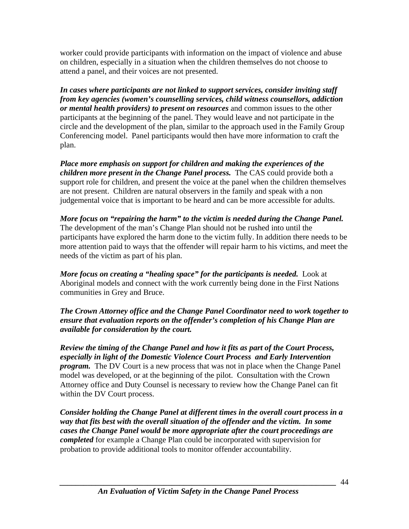worker could provide participants with information on the impact of violence and abuse on children, especially in a situation when the children themselves do not choose to attend a panel, and their voices are not presented.

*In cases where participants are not linked to support services, consider inviting staff from key agencies (women's counselling services, child witness counsellors, addiction or mental health providers) to present on resources* and common issues to the other participants at the beginning of the panel. They would leave and not participate in the circle and the development of the plan, similar to the approach used in the Family Group Conferencing model. Panel participants would then have more information to craft the plan.

*Place more emphasis on support for children and making the experiences of the children more present in the Change Panel process.* The CAS could provide both a support role for children, and present the voice at the panel when the children themselves are not present. Children are natural observers in the family and speak with a non judgemental voice that is important to be heard and can be more accessible for adults.

*More focus on "repairing the harm" to the victim is needed during the Change Panel.* The development of the man's Change Plan should not be rushed into until the participants have explored the harm done to the victim fully. In addition there needs to be more attention paid to ways that the offender will repair harm to his victims, and meet the needs of the victim as part of his plan.

*More focus on creating a "healing space" for the participants is needed.* Look at Aboriginal models and connect with the work currently being done in the First Nations communities in Grey and Bruce.

*The Crown Attorney office and the Change Panel Coordinator need to work together to ensure that evaluation reports on the offender's completion of his Change Plan are available for consideration by the court.* 

*Review the timing of the Change Panel and how it fits as part of the Court Process, especially in light of the Domestic Violence Court Process and Early Intervention program.* The DV Court is a new process that was not in place when the Change Panel model was developed, or at the beginning of the pilot. Consultation with the Crown Attorney office and Duty Counsel is necessary to review how the Change Panel can fit within the DV Court process.

*Consider holding the Change Panel at different times in the overall court process in a way that fits best with the overall situation of the offender and the victim. In some cases the Change Panel would be more appropriate after the court proceedings are completed* for example a Change Plan could be incorporated with supervision for probation to provide additional tools to monitor offender accountability.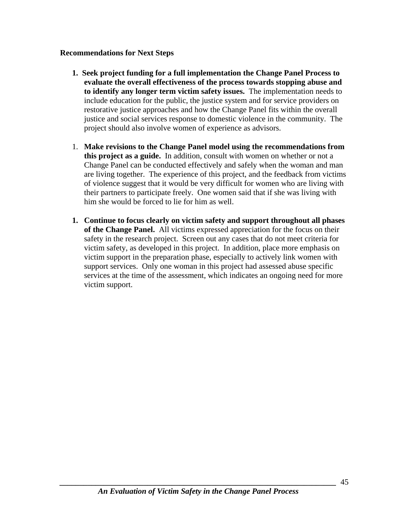#### <span id="page-44-0"></span>**Recommendations for Next Steps**

- **1. Seek project funding for a full implementation the Change Panel Process to evaluate the overall effectiveness of the process towards stopping abuse and to identify any longer term victim safety issues.** The implementation needs to include education for the public, the justice system and for service providers on restorative justice approaches and how the Change Panel fits within the overall justice and social services response to domestic violence in the community. The project should also involve women of experience as advisors.
- 1. **Make revisions to the Change Panel model using the recommendations from this project as a guide.** In addition, consult with women on whether or not a Change Panel can be conducted effectively and safely when the woman and man are living together. The experience of this project, and the feedback from victims of violence suggest that it would be very difficult for women who are living with their partners to participate freely. One women said that if she was living with him she would be forced to lie for him as well.
- **1. Continue to focus clearly on victim safety and support throughout all phases of the Change Panel.** All victims expressed appreciation for the focus on their safety in the research project. Screen out any cases that do not meet criteria for victim safety, as developed in this project. In addition, place more emphasis on victim support in the preparation phase, especially to actively link women with support services. Only one woman in this project had assessed abuse specific services at the time of the assessment, which indicates an ongoing need for more victim support.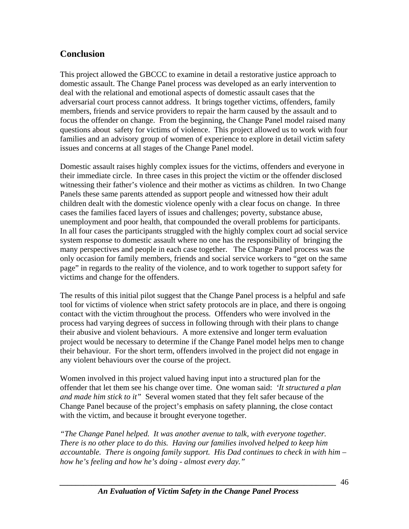## <span id="page-45-0"></span>**Conclusion**

This project allowed the GBCCC to examine in detail a restorative justice approach to domestic assault. The Change Panel process was developed as an early intervention to deal with the relational and emotional aspects of domestic assault cases that the adversarial court process cannot address. It brings together victims, offenders, family members, friends and service providers to repair the harm caused by the assault and to focus the offender on change. From the beginning, the Change Panel model raised many questions about safety for victims of violence. This project allowed us to work with four families and an advisory group of women of experience to explore in detail victim safety issues and concerns at all stages of the Change Panel model.

Domestic assault raises highly complex issues for the victims, offenders and everyone in their immediate circle. In three cases in this project the victim or the offender disclosed witnessing their father's violence and their mother as victims as children. In two Change Panels these same parents attended as support people and witnessed how their adult children dealt with the domestic violence openly with a clear focus on change. In three cases the families faced layers of issues and challenges; poverty, substance abuse, unemployment and poor health, that compounded the overall problems for participants. In all four cases the participants struggled with the highly complex court ad social service system response to domestic assault where no one has the responsibility of bringing the many perspectives and people in each case together. The Change Panel process was the only occasion for family members, friends and social service workers to "get on the same page" in regards to the reality of the violence, and to work together to support safety for victims and change for the offenders.

The results of this initial pilot suggest that the Change Panel process is a helpful and safe tool for victims of violence when strict safety protocols are in place, and there is ongoing contact with the victim throughout the process. Offenders who were involved in the process had varying degrees of success in following through with their plans to change their abusive and violent behaviours. A more extensive and longer term evaluation project would be necessary to determine if the Change Panel model helps men to change their behaviour. For the short term, offenders involved in the project did not engage in any violent behaviours over the course of the project.

Women involved in this project valued having input into a structured plan for the offender that let them see his change over time. One woman said: *'It structured a plan and made him stick to it"* Several women stated that they felt safer because of the Change Panel because of the project's emphasis on safety planning, the close contact with the victim, and because it brought everyone together.

*"The Change Panel helped. It was another avenue to talk, with everyone together. There is no other place to do this. Having our families involved helped to keep him accountable. There is ongoing family support. His Dad continues to check in with him – how he's feeling and how he's doing - almost every day."*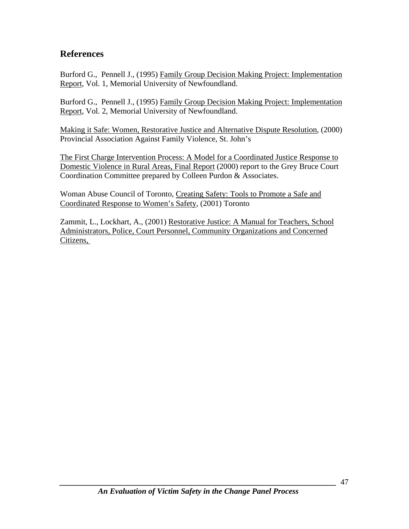## <span id="page-46-0"></span>**References**

Burford G., Pennell J., (1995) Family Group Decision Making Project: Implementation Report, Vol. 1, Memorial University of Newfoundland.

Burford G., Pennell J., (1995) Family Group Decision Making Project: Implementation Report, Vol. 2, Memorial University of Newfoundland.

Making it Safe: Women, Restorative Justice and Alternative Dispute Resolution, (2000) Provincial Association Against Family Violence, St. John's

The First Charge Intervention Process: A Model for a Coordinated Justice Response to Domestic Violence in Rural Areas, Final Report (2000) report to the Grey Bruce Court Coordination Committee prepared by Colleen Purdon & Associates.

Woman Abuse Council of Toronto, Creating Safety: Tools to Promote a Safe and Coordinated Response to Women's Safety, (2001) Toronto

Zammit, L., Lockhart, A., (2001) Restorative Justice: A Manual for Teachers, School Administrators, Police, Court Personnel, Community Organizations and Concerned Citizens,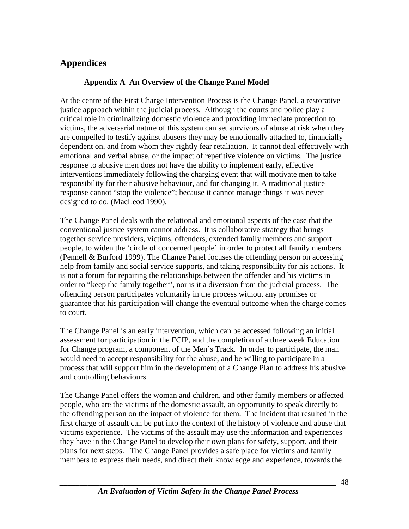## <span id="page-47-0"></span>**Appendices**

### **Appendix A An Overview of the Change Panel Model**

At the centre of the First Charge Intervention Process is the Change Panel, a restorative justice approach within the judicial process. Although the courts and police play a critical role in criminalizing domestic violence and providing immediate protection to victims, the adversarial nature of this system can set survivors of abuse at risk when they are compelled to testify against abusers they may be emotionally attached to, financially dependent on, and from whom they rightly fear retaliation. It cannot deal effectively with emotional and verbal abuse, or the impact of repetitive violence on victims. The justice response to abusive men does not have the ability to implement early, effective interventions immediately following the charging event that will motivate men to take responsibility for their abusive behaviour, and for changing it. A traditional justice response cannot "stop the violence"; because it cannot manage things it was never designed to do. (MacLeod 1990).

The Change Panel deals with the relational and emotional aspects of the case that the conventional justice system cannot address. It is collaborative strategy that brings together service providers, victims, offenders, extended family members and support people, to widen the 'circle of concerned people' in order to protect all family members. (Pennell & Burford 1999). The Change Panel focuses the offending person on accessing help from family and social service supports, and taking responsibility for his actions. It is not a forum for repairing the relationships between the offender and his victims in order to "keep the family together", nor is it a diversion from the judicial process. The offending person participates voluntarily in the process without any promises or guarantee that his participation will change the eventual outcome when the charge comes to court.

The Change Panel is an early intervention, which can be accessed following an initial assessment for participation in the FCIP, and the completion of a three week Education for Change program, a component of the Men's Track. In order to participate, the man would need to accept responsibility for the abuse, and be willing to participate in a process that will support him in the development of a Change Plan to address his abusive and controlling behaviours.

The Change Panel offers the woman and children, and other family members or affected people, who are the victims of the domestic assault, an opportunity to speak directly to the offending person on the impact of violence for them. The incident that resulted in the first charge of assault can be put into the context of the history of violence and abuse that victims experience. The victims of the assault may use the information and experiences they have in the Change Panel to develop their own plans for safety, support, and their plans for next steps. The Change Panel provides a safe place for victims and family members to express their needs, and direct their knowledge and experience, towards the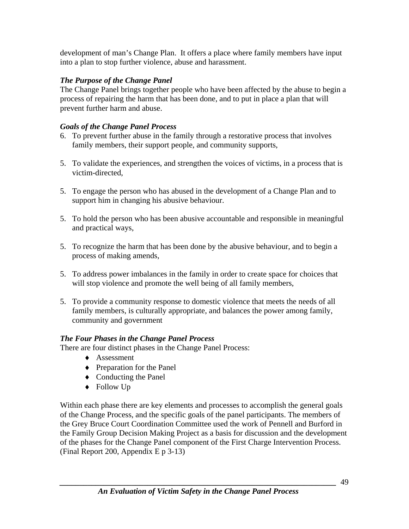development of man's Change Plan. It offers a place where family members have input into a plan to stop further violence, abuse and harassment.

## *The Purpose of the Change Panel*

The Change Panel brings together people who have been affected by the abuse to begin a process of repairing the harm that has been done, and to put in place a plan that will prevent further harm and abuse.

## *Goals of the Change Panel Process*

- 6. To prevent further abuse in the family through a restorative process that involves family members, their support people, and community supports,
- 5. To validate the experiences, and strengthen the voices of victims, in a process that is victim-directed,
- 5. To engage the person who has abused in the development of a Change Plan and to support him in changing his abusive behaviour.
- 5. To hold the person who has been abusive accountable and responsible in meaningful and practical ways,
- 5. To recognize the harm that has been done by the abusive behaviour, and to begin a process of making amends,
- 5. To address power imbalances in the family in order to create space for choices that will stop violence and promote the well being of all family members,
- 5. To provide a community response to domestic violence that meets the needs of all family members, is culturally appropriate, and balances the power among family, community and government

## *The Four Phases in the Change Panel Process*

There are four distinct phases in the Change Panel Process:

- ♦ Assessment
- ♦ Preparation for the Panel
- ♦ Conducting the Panel
- ♦ Follow Up

Within each phase there are key elements and processes to accomplish the general goals of the Change Process, and the specific goals of the panel participants. The members of the Grey Bruce Court Coordination Committee used the work of Pennell and Burford in the Family Group Decision Making Project as a basis for discussion and the development of the phases for the Change Panel component of the First Charge Intervention Process. (Final Report 200, Appendix E p 3-13)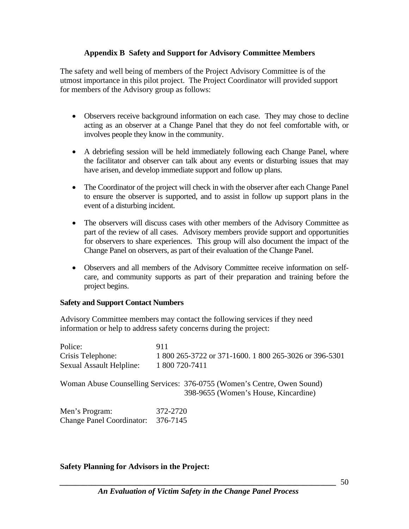#### **Appendix B Safety and Support for Advisory Committee Members**

<span id="page-49-0"></span>The safety and well being of members of the Project Advisory Committee is of the utmost importance in this pilot project. The Project Coordinator will provided support for members of the Advisory group as follows:

- Observers receive background information on each case. They may chose to decline acting as an observer at a Change Panel that they do not feel comfortable with, or involves people they know in the community.
- A debriefing session will be held immediately following each Change Panel, where the facilitator and observer can talk about any events or disturbing issues that may have arisen, and develop immediate support and follow up plans.
- The Coordinator of the project will check in with the observer after each Change Panel to ensure the observer is supported, and to assist in follow up support plans in the event of a disturbing incident.
- The observers will discuss cases with other members of the Advisory Committee as part of the review of all cases. Advisory members provide support and opportunities for observers to share experiences. This group will also document the impact of the Change Panel on observers, as part of their evaluation of the Change Panel.
- Observers and all members of the Advisory Committee receive information on selfcare, and community supports as part of their preparation and training before the project begins.

#### **Safety and Support Contact Numbers**

Advisory Committee members may contact the following services if they need information or help to address safety concerns during the project:

| Police:                          | 911                                                                                                             |
|----------------------------------|-----------------------------------------------------------------------------------------------------------------|
| Crisis Telephone:                | 1 800 265-3722 or 371-1600. 1 800 265-3026 or 396-5301                                                          |
| <b>Sexual Assault Helpline:</b>  | 1 800 720-7411                                                                                                  |
|                                  | Woman Abuse Counselling Services: 376-0755 (Women's Centre, Owen Sound)<br>398-9655 (Women's House, Kincardine) |
| Men's Program:                   | 372-2720                                                                                                        |
| <b>Change Panel Coordinator:</b> | 376-7145                                                                                                        |

#### **Safety Planning for Advisors in the Project:**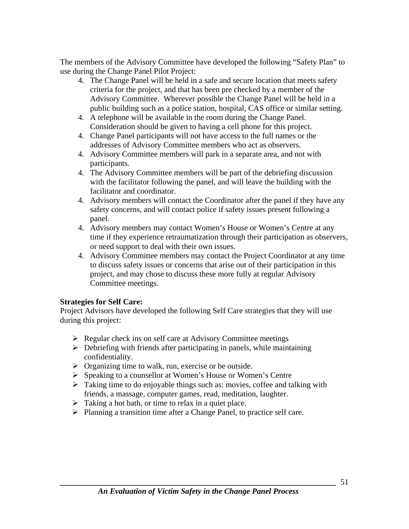The members of the Advisory Committee have developed the following "Safety Plan" to use during the Change Panel Pilot Project:

- 4. The Change Panel will be held in a safe and secure location that meets safety criteria for the project, and that has been pre checked by a member of the Advisory Committee. Wherever possible the Change Panel will be held in a public building such as a police station, hospital, CAS office or similar setting.
- 4. A telephone will be available in the room during the Change Panel. Consideration should be given to having a cell phone for this project.
- 4. Change Panel participants will not have access to the full names or the addresses of Advisory Committee members who act as observers.
- 4. Advisory Committee members will park in a separate area, and not with participants.
- 4. The Advisory Committee members will be part of the debriefing discussion with the facilitator following the panel, and will leave the building with the facilitator and coordinator.
- 4. Advisory members will contact the Coordinator after the panel if they have any safety concerns, and will contact police if safety issues present following a panel.
- 4. Advisory members may contact Women's House or Women's Centre at any time if they experience retraumatization through their participation as observers, or need support to deal with their own issues.
- 4. Advisory Committee members may contact the Project Coordinator at any time to discuss safety issues or concerns that arise out of their participation in this project, and may chose to discuss these more fully at regular Advisory Committee meetings.

#### **Strategies for Self Care:**

Project Advisors have developed the following Self Care strategies that they will use during this project:

- $\triangleright$  Regular check ins on self care at Advisory Committee meetings
- $\triangleright$  Debriefing with friends after participating in panels, while maintaining confidentiality.
- $\triangleright$  Organizing time to walk, run, exercise or be outside.
- ¾ Speaking to a counsellor at Women's House or Women's Centre
- $\triangleright$  Taking time to do enjoyable things such as: movies, coffee and talking with friends, a massage, computer games, read, meditation, laughter.
- $\triangleright$  Taking a hot bath, or time to relax in a quiet place.
- ¾ Planning a transition time after a Change Panel, to practice self care.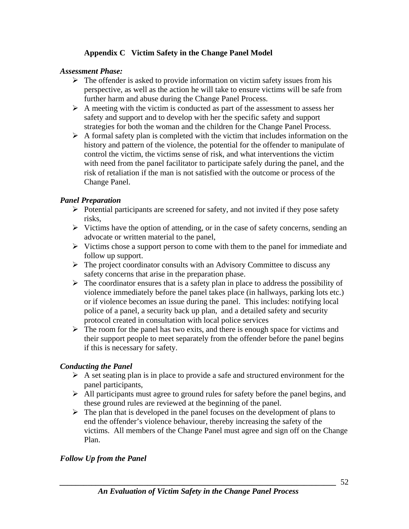### **Appendix C Victim Safety in the Change Panel Model**

#### <span id="page-51-0"></span>*Assessment Phase:*

- $\triangleright$  The offender is asked to provide information on victim safety issues from his perspective, as well as the action he will take to ensure victims will be safe from further harm and abuse during the Change Panel Process.
- $\triangleright$  A meeting with the victim is conducted as part of the assessment to assess her safety and support and to develop with her the specific safety and support strategies for both the woman and the children for the Change Panel Process.
- $\triangleright$  A formal safety plan is completed with the victim that includes information on the history and pattern of the violence, the potential for the offender to manipulate of control the victim, the victims sense of risk, and what interventions the victim with need from the panel facilitator to participate safely during the panel, and the risk of retaliation if the man is not satisfied with the outcome or process of the Change Panel.

#### *Panel Preparation*

- $\triangleright$  Potential participants are screened for safety, and not invited if they pose safety risks,
- $\triangleright$  Victims have the option of attending, or in the case of safety concerns, sending an advocate or written material to the panel,
- $\triangleright$  Victims chose a support person to come with them to the panel for immediate and follow up support.
- $\triangleright$  The project coordinator consults with an Advisory Committee to discuss any safety concerns that arise in the preparation phase.
- $\triangleright$  The coordinator ensures that is a safety plan in place to address the possibility of violence immediately before the panel takes place (in hallways, parking lots etc.) or if violence becomes an issue during the panel. This includes: notifying local police of a panel, a security back up plan, and a detailed safety and security protocol created in consultation with local police services
- $\triangleright$  The room for the panel has two exits, and there is enough space for victims and their support people to meet separately from the offender before the panel begins if this is necessary for safety.

#### *Conducting the Panel*

- $\triangleright$  A set seating plan is in place to provide a safe and structured environment for the panel participants,
- $\triangleright$  All participants must agree to ground rules for safety before the panel begins, and these ground rules are reviewed at the beginning of the panel.
- $\triangleright$  The plan that is developed in the panel focuses on the development of plans to end the offender's violence behaviour, thereby increasing the safety of the victims. All members of the Change Panel must agree and sign off on the Change Plan.

#### *Follow Up from the Panel*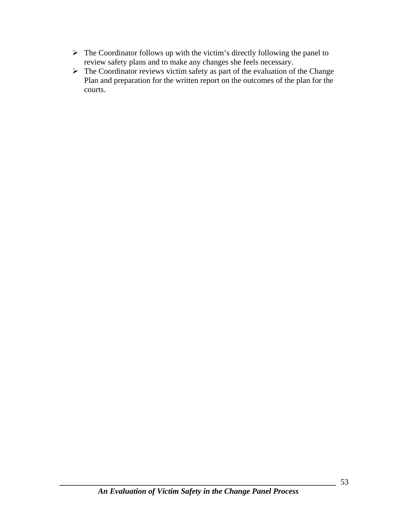- $\triangleright$  The Coordinator follows up with the victim's directly following the panel to review safety plans and to make any changes she feels necessary.
- $\triangleright$  The Coordinator reviews victim safety as part of the evaluation of the Change Plan and preparation for the written report on the outcomes of the plan for the courts.